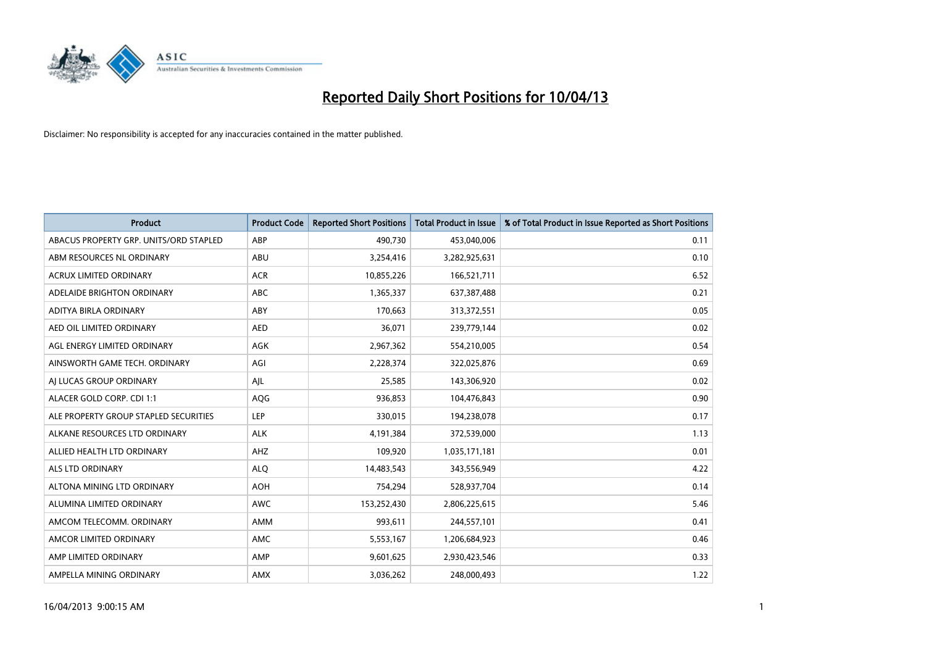

| <b>Product</b>                         | <b>Product Code</b> | <b>Reported Short Positions</b> | Total Product in Issue | % of Total Product in Issue Reported as Short Positions |
|----------------------------------------|---------------------|---------------------------------|------------------------|---------------------------------------------------------|
| ABACUS PROPERTY GRP. UNITS/ORD STAPLED | ABP                 | 490,730                         | 453,040,006            | 0.11                                                    |
| ABM RESOURCES NL ORDINARY              | ABU                 | 3,254,416                       | 3,282,925,631          | 0.10                                                    |
| <b>ACRUX LIMITED ORDINARY</b>          | <b>ACR</b>          | 10,855,226                      | 166,521,711            | 6.52                                                    |
| ADELAIDE BRIGHTON ORDINARY             | <b>ABC</b>          | 1,365,337                       | 637,387,488            | 0.21                                                    |
| ADITYA BIRLA ORDINARY                  | ABY                 | 170,663                         | 313,372,551            | 0.05                                                    |
| AED OIL LIMITED ORDINARY               | <b>AED</b>          | 36,071                          | 239,779,144            | 0.02                                                    |
| AGL ENERGY LIMITED ORDINARY            | AGK                 | 2,967,362                       | 554,210,005            | 0.54                                                    |
| AINSWORTH GAME TECH. ORDINARY          | AGI                 | 2,228,374                       | 322,025,876            | 0.69                                                    |
| AJ LUCAS GROUP ORDINARY                | AJL                 | 25,585                          | 143,306,920            | 0.02                                                    |
| ALACER GOLD CORP. CDI 1:1              | AQG                 | 936,853                         | 104,476,843            | 0.90                                                    |
| ALE PROPERTY GROUP STAPLED SECURITIES  | <b>LEP</b>          | 330,015                         | 194,238,078            | 0.17                                                    |
| ALKANE RESOURCES LTD ORDINARY          | <b>ALK</b>          | 4,191,384                       | 372,539,000            | 1.13                                                    |
| ALLIED HEALTH LTD ORDINARY             | AHZ                 | 109,920                         | 1,035,171,181          | 0.01                                                    |
| <b>ALS LTD ORDINARY</b>                | <b>ALQ</b>          | 14,483,543                      | 343,556,949            | 4.22                                                    |
| ALTONA MINING LTD ORDINARY             | <b>AOH</b>          | 754,294                         | 528,937,704            | 0.14                                                    |
| ALUMINA LIMITED ORDINARY               | <b>AWC</b>          | 153,252,430                     | 2,806,225,615          | 5.46                                                    |
| AMCOM TELECOMM. ORDINARY               | AMM                 | 993,611                         | 244,557,101            | 0.41                                                    |
| AMCOR LIMITED ORDINARY                 | <b>AMC</b>          | 5,553,167                       | 1,206,684,923          | 0.46                                                    |
| AMP LIMITED ORDINARY                   | AMP                 | 9,601,625                       | 2,930,423,546          | 0.33                                                    |
| AMPELLA MINING ORDINARY                | AMX                 | 3,036,262                       | 248,000,493            | 1.22                                                    |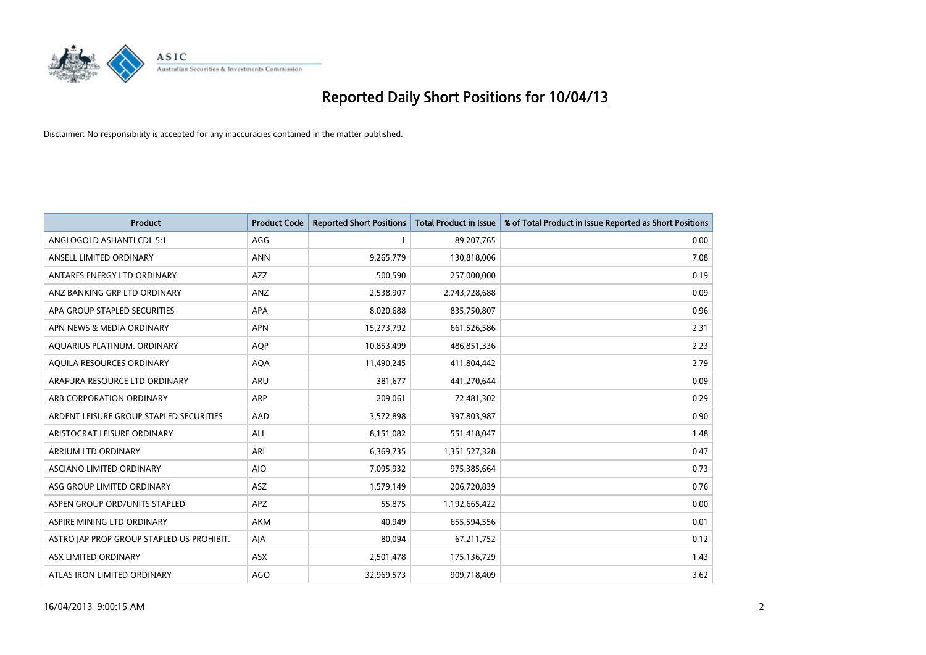

| Product                                   | <b>Product Code</b> | <b>Reported Short Positions</b> | <b>Total Product in Issue</b> | % of Total Product in Issue Reported as Short Positions |
|-------------------------------------------|---------------------|---------------------------------|-------------------------------|---------------------------------------------------------|
| ANGLOGOLD ASHANTI CDI 5:1                 | AGG                 |                                 | 89,207,765                    | 0.00                                                    |
| ANSELL LIMITED ORDINARY                   | <b>ANN</b>          | 9,265,779                       | 130,818,006                   | 7.08                                                    |
| ANTARES ENERGY LTD ORDINARY               | AZZ                 | 500,590                         | 257,000,000                   | 0.19                                                    |
| ANZ BANKING GRP LTD ORDINARY              | ANZ                 | 2,538,907                       | 2,743,728,688                 | 0.09                                                    |
| APA GROUP STAPLED SECURITIES              | APA                 | 8,020,688                       | 835,750,807                   | 0.96                                                    |
| APN NEWS & MEDIA ORDINARY                 | <b>APN</b>          | 15,273,792                      | 661,526,586                   | 2.31                                                    |
| AQUARIUS PLATINUM. ORDINARY               | <b>AQP</b>          | 10,853,499                      | 486,851,336                   | 2.23                                                    |
| AQUILA RESOURCES ORDINARY                 | <b>AQA</b>          | 11,490,245                      | 411,804,442                   | 2.79                                                    |
| ARAFURA RESOURCE LTD ORDINARY             | ARU                 | 381,677                         | 441,270,644                   | 0.09                                                    |
| ARB CORPORATION ORDINARY                  | ARP                 | 209,061                         | 72,481,302                    | 0.29                                                    |
| ARDENT LEISURE GROUP STAPLED SECURITIES   | AAD                 | 3,572,898                       | 397,803,987                   | 0.90                                                    |
| ARISTOCRAT LEISURE ORDINARY               | ALL                 | 8,151,082                       | 551,418,047                   | 1.48                                                    |
| ARRIUM LTD ORDINARY                       | ARI                 | 6,369,735                       | 1,351,527,328                 | 0.47                                                    |
| ASCIANO LIMITED ORDINARY                  | <b>AIO</b>          | 7,095,932                       | 975,385,664                   | 0.73                                                    |
| ASG GROUP LIMITED ORDINARY                | ASZ                 | 1,579,149                       | 206,720,839                   | 0.76                                                    |
| ASPEN GROUP ORD/UNITS STAPLED             | <b>APZ</b>          | 55,875                          | 1,192,665,422                 | 0.00                                                    |
| ASPIRE MINING LTD ORDINARY                | AKM                 | 40,949                          | 655,594,556                   | 0.01                                                    |
| ASTRO JAP PROP GROUP STAPLED US PROHIBIT. | AJA                 | 80,094                          | 67,211,752                    | 0.12                                                    |
| ASX LIMITED ORDINARY                      | ASX                 | 2,501,478                       | 175,136,729                   | 1.43                                                    |
| ATLAS IRON LIMITED ORDINARY               | <b>AGO</b>          | 32,969,573                      | 909,718,409                   | 3.62                                                    |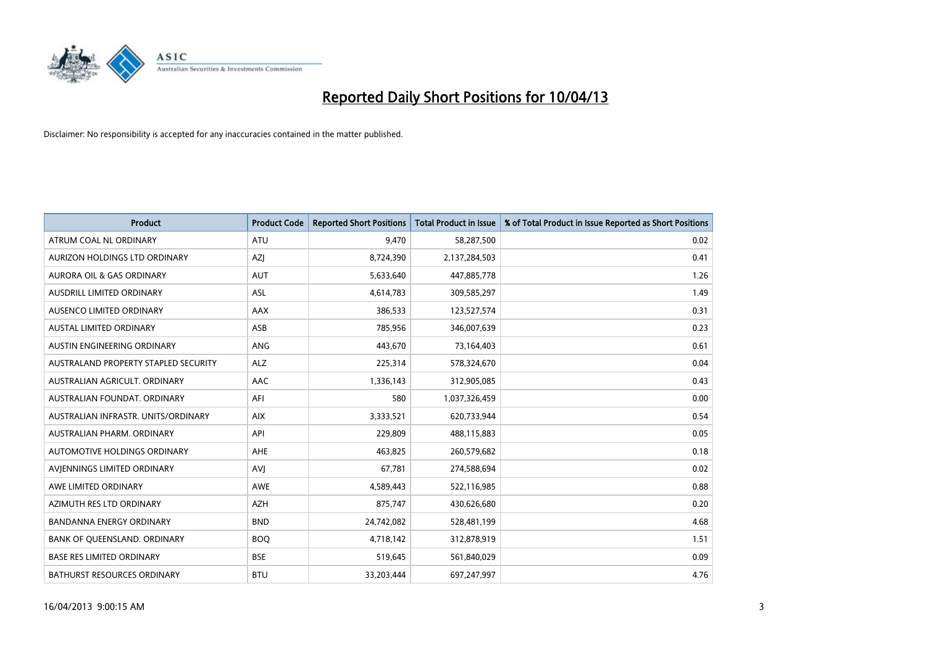

| <b>Product</b>                       | <b>Product Code</b> | <b>Reported Short Positions</b> | <b>Total Product in Issue</b> | % of Total Product in Issue Reported as Short Positions |
|--------------------------------------|---------------------|---------------------------------|-------------------------------|---------------------------------------------------------|
| ATRUM COAL NL ORDINARY               | <b>ATU</b>          | 9,470                           | 58,287,500                    | 0.02                                                    |
| AURIZON HOLDINGS LTD ORDINARY        | AZJ                 | 8,724,390                       | 2,137,284,503                 | 0.41                                                    |
| AURORA OIL & GAS ORDINARY            | AUT                 | 5,633,640                       | 447,885,778                   | 1.26                                                    |
| AUSDRILL LIMITED ORDINARY            | ASL                 | 4,614,783                       | 309,585,297                   | 1.49                                                    |
| AUSENCO LIMITED ORDINARY             | <b>AAX</b>          | 386,533                         | 123,527,574                   | 0.31                                                    |
| <b>AUSTAL LIMITED ORDINARY</b>       | ASB                 | 785,956                         | 346,007,639                   | 0.23                                                    |
| AUSTIN ENGINEERING ORDINARY          | ANG                 | 443,670                         | 73,164,403                    | 0.61                                                    |
| AUSTRALAND PROPERTY STAPLED SECURITY | <b>ALZ</b>          | 225,314                         | 578,324,670                   | 0.04                                                    |
| AUSTRALIAN AGRICULT, ORDINARY        | AAC                 | 1,336,143                       | 312,905,085                   | 0.43                                                    |
| AUSTRALIAN FOUNDAT, ORDINARY         | AFI                 | 580                             | 1,037,326,459                 | 0.00                                                    |
| AUSTRALIAN INFRASTR, UNITS/ORDINARY  | <b>AIX</b>          | 3,333,521                       | 620,733,944                   | 0.54                                                    |
| AUSTRALIAN PHARM, ORDINARY           | API                 | 229,809                         | 488,115,883                   | 0.05                                                    |
| AUTOMOTIVE HOLDINGS ORDINARY         | AHE                 | 463,825                         | 260,579,682                   | 0.18                                                    |
| AVIENNINGS LIMITED ORDINARY          | AVI                 | 67,781                          | 274,588,694                   | 0.02                                                    |
| AWE LIMITED ORDINARY                 | <b>AWE</b>          | 4,589,443                       | 522,116,985                   | 0.88                                                    |
| AZIMUTH RES LTD ORDINARY             | AZH                 | 875,747                         | 430,626,680                   | 0.20                                                    |
| <b>BANDANNA ENERGY ORDINARY</b>      | <b>BND</b>          | 24,742,082                      | 528,481,199                   | 4.68                                                    |
| BANK OF QUEENSLAND. ORDINARY         | <b>BOQ</b>          | 4,718,142                       | 312,878,919                   | 1.51                                                    |
| <b>BASE RES LIMITED ORDINARY</b>     | <b>BSE</b>          | 519,645                         | 561,840,029                   | 0.09                                                    |
| BATHURST RESOURCES ORDINARY          | <b>BTU</b>          | 33,203,444                      | 697,247,997                   | 4.76                                                    |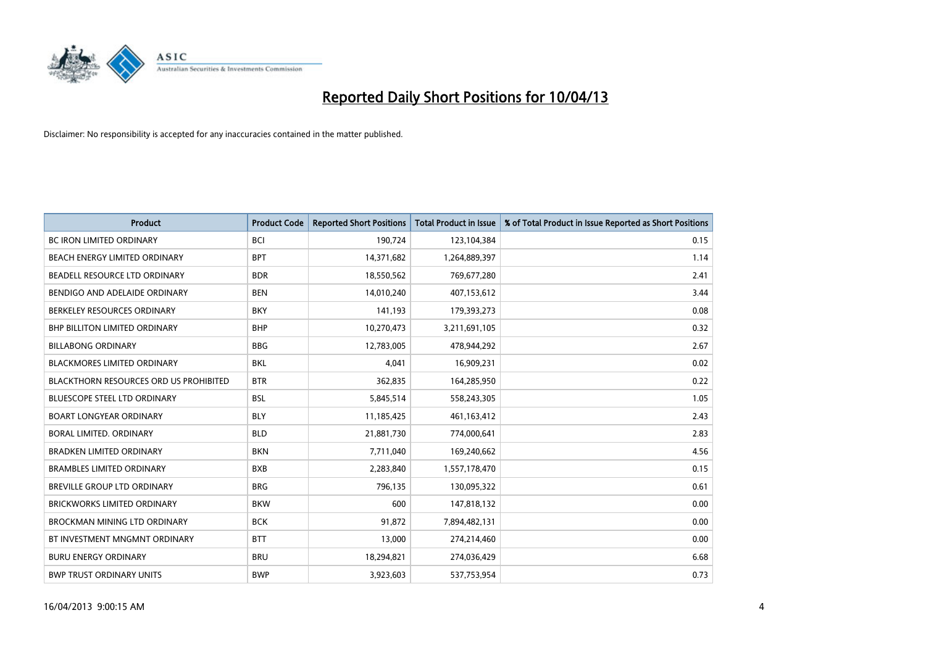

| <b>Product</b>                                | <b>Product Code</b> | <b>Reported Short Positions</b> | <b>Total Product in Issue</b> | % of Total Product in Issue Reported as Short Positions |
|-----------------------------------------------|---------------------|---------------------------------|-------------------------------|---------------------------------------------------------|
| <b>BC IRON LIMITED ORDINARY</b>               | <b>BCI</b>          | 190,724                         | 123,104,384                   | 0.15                                                    |
| BEACH ENERGY LIMITED ORDINARY                 | <b>BPT</b>          | 14,371,682                      | 1,264,889,397                 | 1.14                                                    |
| BEADELL RESOURCE LTD ORDINARY                 | <b>BDR</b>          | 18,550,562                      | 769,677,280                   | 2.41                                                    |
| BENDIGO AND ADELAIDE ORDINARY                 | <b>BEN</b>          | 14,010,240                      | 407,153,612                   | 3.44                                                    |
| BERKELEY RESOURCES ORDINARY                   | <b>BKY</b>          | 141,193                         | 179,393,273                   | 0.08                                                    |
| <b>BHP BILLITON LIMITED ORDINARY</b>          | <b>BHP</b>          | 10,270,473                      | 3,211,691,105                 | 0.32                                                    |
| <b>BILLABONG ORDINARY</b>                     | <b>BBG</b>          | 12,783,005                      | 478,944,292                   | 2.67                                                    |
| BLACKMORES LIMITED ORDINARY                   | <b>BKL</b>          | 4,041                           | 16,909,231                    | 0.02                                                    |
| <b>BLACKTHORN RESOURCES ORD US PROHIBITED</b> | <b>BTR</b>          | 362,835                         | 164,285,950                   | 0.22                                                    |
| <b>BLUESCOPE STEEL LTD ORDINARY</b>           | <b>BSL</b>          | 5,845,514                       | 558,243,305                   | 1.05                                                    |
| <b>BOART LONGYEAR ORDINARY</b>                | <b>BLY</b>          | 11,185,425                      | 461,163,412                   | 2.43                                                    |
| <b>BORAL LIMITED, ORDINARY</b>                | <b>BLD</b>          | 21,881,730                      | 774,000,641                   | 2.83                                                    |
| <b>BRADKEN LIMITED ORDINARY</b>               | <b>BKN</b>          | 7,711,040                       | 169,240,662                   | 4.56                                                    |
| <b>BRAMBLES LIMITED ORDINARY</b>              | <b>BXB</b>          | 2,283,840                       | 1,557,178,470                 | 0.15                                                    |
| BREVILLE GROUP LTD ORDINARY                   | <b>BRG</b>          | 796,135                         | 130,095,322                   | 0.61                                                    |
| BRICKWORKS LIMITED ORDINARY                   | <b>BKW</b>          | 600                             | 147,818,132                   | 0.00                                                    |
| BROCKMAN MINING LTD ORDINARY                  | <b>BCK</b>          | 91,872                          | 7,894,482,131                 | 0.00                                                    |
| BT INVESTMENT MNGMNT ORDINARY                 | <b>BTT</b>          | 13,000                          | 274,214,460                   | 0.00                                                    |
| <b>BURU ENERGY ORDINARY</b>                   | <b>BRU</b>          | 18,294,821                      | 274,036,429                   | 6.68                                                    |
| <b>BWP TRUST ORDINARY UNITS</b>               | <b>BWP</b>          | 3,923,603                       | 537,753,954                   | 0.73                                                    |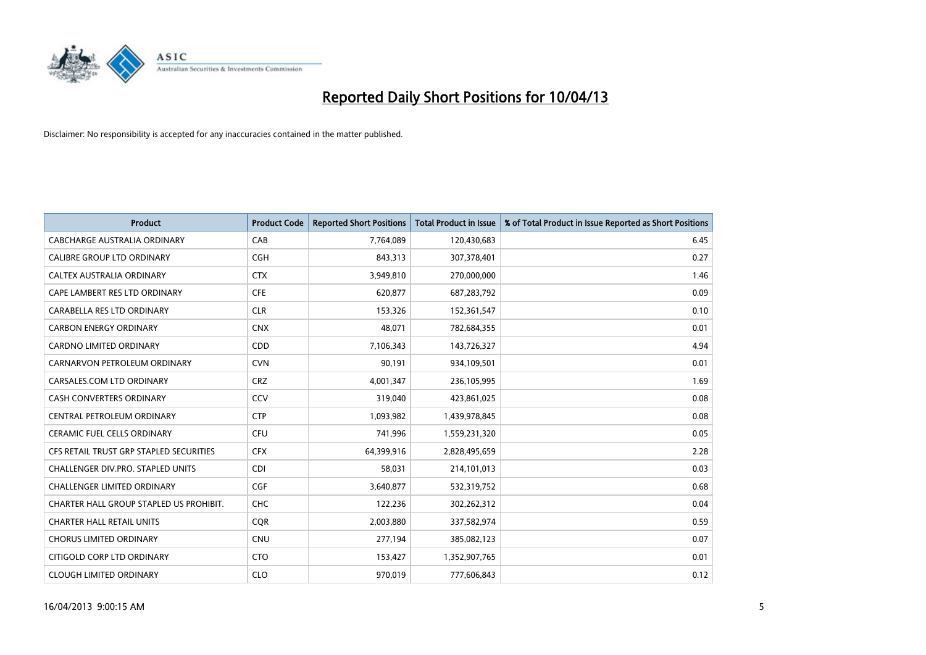

| <b>Product</b>                          | <b>Product Code</b> | <b>Reported Short Positions</b> | <b>Total Product in Issue</b> | % of Total Product in Issue Reported as Short Positions |
|-----------------------------------------|---------------------|---------------------------------|-------------------------------|---------------------------------------------------------|
| <b>CABCHARGE AUSTRALIA ORDINARY</b>     | CAB                 | 7,764,089                       | 120,430,683                   | 6.45                                                    |
| CALIBRE GROUP LTD ORDINARY              | <b>CGH</b>          | 843,313                         | 307,378,401                   | 0.27                                                    |
| <b>CALTEX AUSTRALIA ORDINARY</b>        | <b>CTX</b>          | 3,949,810                       | 270,000,000                   | 1.46                                                    |
| CAPE LAMBERT RES LTD ORDINARY           | <b>CFE</b>          | 620,877                         | 687,283,792                   | 0.09                                                    |
| CARABELLA RES LTD ORDINARY              | <b>CLR</b>          | 153,326                         | 152,361,547                   | 0.10                                                    |
| <b>CARBON ENERGY ORDINARY</b>           | <b>CNX</b>          | 48,071                          | 782,684,355                   | 0.01                                                    |
| <b>CARDNO LIMITED ORDINARY</b>          | CDD                 | 7,106,343                       | 143,726,327                   | 4.94                                                    |
| CARNARVON PETROLEUM ORDINARY            | <b>CVN</b>          | 90,191                          | 934,109,501                   | 0.01                                                    |
| CARSALES.COM LTD ORDINARY               | <b>CRZ</b>          | 4,001,347                       | 236,105,995                   | 1.69                                                    |
| <b>CASH CONVERTERS ORDINARY</b>         | CCV                 | 319,040                         | 423,861,025                   | 0.08                                                    |
| CENTRAL PETROLEUM ORDINARY              | <b>CTP</b>          | 1,093,982                       | 1,439,978,845                 | 0.08                                                    |
| <b>CERAMIC FUEL CELLS ORDINARY</b>      | <b>CFU</b>          | 741,996                         | 1,559,231,320                 | 0.05                                                    |
| CFS RETAIL TRUST GRP STAPLED SECURITIES | <b>CFX</b>          | 64,399,916                      | 2,828,495,659                 | 2.28                                                    |
| CHALLENGER DIV.PRO. STAPLED UNITS       | <b>CDI</b>          | 58,031                          | 214,101,013                   | 0.03                                                    |
| <b>CHALLENGER LIMITED ORDINARY</b>      | <b>CGF</b>          | 3,640,877                       | 532,319,752                   | 0.68                                                    |
| CHARTER HALL GROUP STAPLED US PROHIBIT. | <b>CHC</b>          | 122,236                         | 302,262,312                   | 0.04                                                    |
| <b>CHARTER HALL RETAIL UNITS</b>        | <b>CQR</b>          | 2,003,880                       | 337,582,974                   | 0.59                                                    |
| <b>CHORUS LIMITED ORDINARY</b>          | <b>CNU</b>          | 277,194                         | 385,082,123                   | 0.07                                                    |
| CITIGOLD CORP LTD ORDINARY              | <b>CTO</b>          | 153,427                         | 1,352,907,765                 | 0.01                                                    |
| <b>CLOUGH LIMITED ORDINARY</b>          | <b>CLO</b>          | 970,019                         | 777,606,843                   | 0.12                                                    |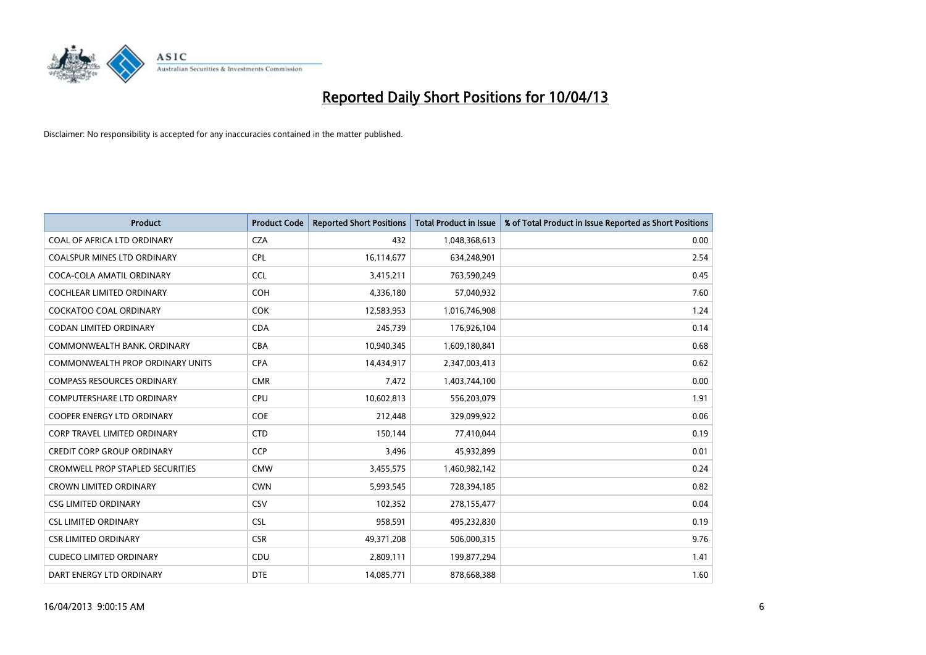

| <b>Product</b>                          | <b>Product Code</b> | <b>Reported Short Positions</b> | <b>Total Product in Issue</b> | % of Total Product in Issue Reported as Short Positions |
|-----------------------------------------|---------------------|---------------------------------|-------------------------------|---------------------------------------------------------|
| COAL OF AFRICA LTD ORDINARY             | <b>CZA</b>          | 432                             | 1,048,368,613                 | 0.00                                                    |
| COALSPUR MINES LTD ORDINARY             | <b>CPL</b>          | 16,114,677                      | 634,248,901                   | 2.54                                                    |
| COCA-COLA AMATIL ORDINARY               | <b>CCL</b>          | 3,415,211                       | 763,590,249                   | 0.45                                                    |
| COCHLEAR LIMITED ORDINARY               | <b>COH</b>          | 4,336,180                       | 57,040,932                    | 7.60                                                    |
| <b>COCKATOO COAL ORDINARY</b>           | <b>COK</b>          | 12,583,953                      | 1,016,746,908                 | 1.24                                                    |
| <b>CODAN LIMITED ORDINARY</b>           | <b>CDA</b>          | 245,739                         | 176,926,104                   | 0.14                                                    |
| COMMONWEALTH BANK, ORDINARY             | <b>CBA</b>          | 10,940,345                      | 1,609,180,841                 | 0.68                                                    |
| COMMONWEALTH PROP ORDINARY UNITS        | <b>CPA</b>          | 14,434,917                      | 2,347,003,413                 | 0.62                                                    |
| <b>COMPASS RESOURCES ORDINARY</b>       | <b>CMR</b>          | 7,472                           | 1,403,744,100                 | 0.00                                                    |
| <b>COMPUTERSHARE LTD ORDINARY</b>       | <b>CPU</b>          | 10,602,813                      | 556,203,079                   | 1.91                                                    |
| COOPER ENERGY LTD ORDINARY              | <b>COE</b>          | 212,448                         | 329,099,922                   | 0.06                                                    |
| <b>CORP TRAVEL LIMITED ORDINARY</b>     | <b>CTD</b>          | 150,144                         | 77,410,044                    | 0.19                                                    |
| <b>CREDIT CORP GROUP ORDINARY</b>       | <b>CCP</b>          | 3,496                           | 45,932,899                    | 0.01                                                    |
| <b>CROMWELL PROP STAPLED SECURITIES</b> | <b>CMW</b>          | 3,455,575                       | 1,460,982,142                 | 0.24                                                    |
| <b>CROWN LIMITED ORDINARY</b>           | <b>CWN</b>          | 5,993,545                       | 728,394,185                   | 0.82                                                    |
| <b>CSG LIMITED ORDINARY</b>             | CSV                 | 102,352                         | 278,155,477                   | 0.04                                                    |
| <b>CSL LIMITED ORDINARY</b>             | <b>CSL</b>          | 958,591                         | 495,232,830                   | 0.19                                                    |
| <b>CSR LIMITED ORDINARY</b>             | <b>CSR</b>          | 49,371,208                      | 506,000,315                   | 9.76                                                    |
| <b>CUDECO LIMITED ORDINARY</b>          | CDU                 | 2,809,111                       | 199,877,294                   | 1.41                                                    |
| DART ENERGY LTD ORDINARY                | <b>DTE</b>          | 14,085,771                      | 878,668,388                   | 1.60                                                    |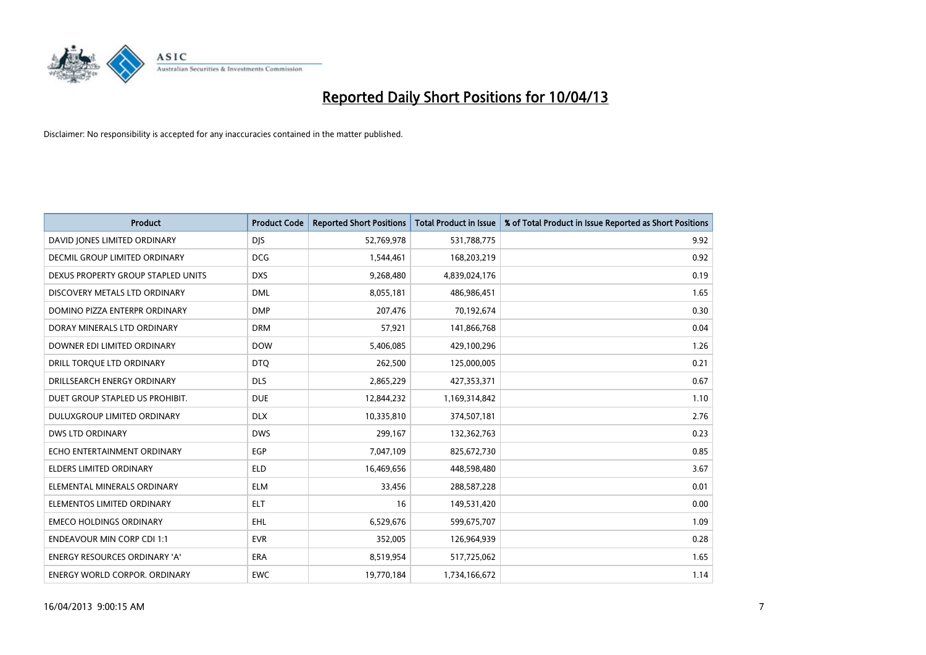

| <b>Product</b>                       | <b>Product Code</b> | <b>Reported Short Positions</b> | <b>Total Product in Issue</b> | % of Total Product in Issue Reported as Short Positions |
|--------------------------------------|---------------------|---------------------------------|-------------------------------|---------------------------------------------------------|
| DAVID JONES LIMITED ORDINARY         | <b>DJS</b>          | 52,769,978                      | 531,788,775                   | 9.92                                                    |
| DECMIL GROUP LIMITED ORDINARY        | <b>DCG</b>          | 1,544,461                       | 168,203,219                   | 0.92                                                    |
| DEXUS PROPERTY GROUP STAPLED UNITS   | <b>DXS</b>          | 9,268,480                       | 4,839,024,176                 | 0.19                                                    |
| DISCOVERY METALS LTD ORDINARY        | <b>DML</b>          | 8,055,181                       | 486,986,451                   | 1.65                                                    |
| DOMINO PIZZA ENTERPR ORDINARY        | <b>DMP</b>          | 207,476                         | 70,192,674                    | 0.30                                                    |
| DORAY MINERALS LTD ORDINARY          | <b>DRM</b>          | 57,921                          | 141,866,768                   | 0.04                                                    |
| DOWNER EDI LIMITED ORDINARY          | <b>DOW</b>          | 5,406,085                       | 429,100,296                   | 1.26                                                    |
| DRILL TORQUE LTD ORDINARY            | <b>DTQ</b>          | 262,500                         | 125,000,005                   | 0.21                                                    |
| DRILLSEARCH ENERGY ORDINARY          | <b>DLS</b>          | 2,865,229                       | 427,353,371                   | 0.67                                                    |
| DUET GROUP STAPLED US PROHIBIT.      | <b>DUE</b>          | 12,844,232                      | 1,169,314,842                 | 1.10                                                    |
| DULUXGROUP LIMITED ORDINARY          | <b>DLX</b>          | 10,335,810                      | 374,507,181                   | 2.76                                                    |
| <b>DWS LTD ORDINARY</b>              | <b>DWS</b>          | 299,167                         | 132,362,763                   | 0.23                                                    |
| ECHO ENTERTAINMENT ORDINARY          | <b>EGP</b>          | 7,047,109                       | 825,672,730                   | 0.85                                                    |
| <b>ELDERS LIMITED ORDINARY</b>       | <b>ELD</b>          | 16,469,656                      | 448,598,480                   | 3.67                                                    |
| ELEMENTAL MINERALS ORDINARY          | <b>ELM</b>          | 33,456                          | 288,587,228                   | 0.01                                                    |
| ELEMENTOS LIMITED ORDINARY           | <b>ELT</b>          | 16                              | 149,531,420                   | 0.00                                                    |
| <b>EMECO HOLDINGS ORDINARY</b>       | <b>EHL</b>          | 6,529,676                       | 599,675,707                   | 1.09                                                    |
| <b>ENDEAVOUR MIN CORP CDI 1:1</b>    | <b>EVR</b>          | 352,005                         | 126,964,939                   | 0.28                                                    |
| <b>ENERGY RESOURCES ORDINARY 'A'</b> | <b>ERA</b>          | 8,519,954                       | 517,725,062                   | 1.65                                                    |
| <b>ENERGY WORLD CORPOR. ORDINARY</b> | <b>EWC</b>          | 19,770,184                      | 1,734,166,672                 | 1.14                                                    |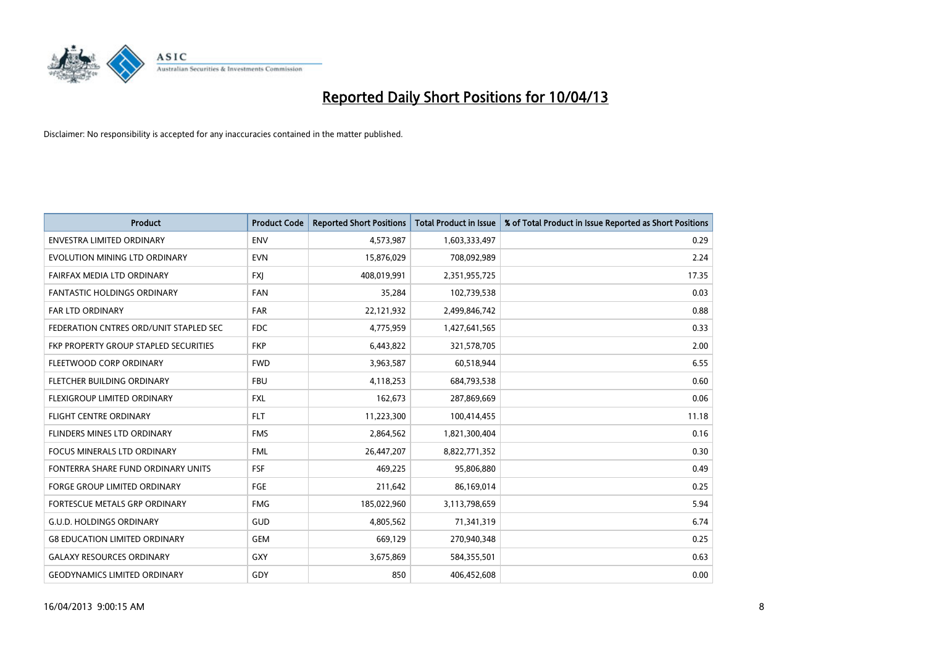

| <b>Product</b>                         | <b>Product Code</b> | <b>Reported Short Positions</b> | <b>Total Product in Issue</b> | % of Total Product in Issue Reported as Short Positions |
|----------------------------------------|---------------------|---------------------------------|-------------------------------|---------------------------------------------------------|
| <b>ENVESTRA LIMITED ORDINARY</b>       | <b>ENV</b>          | 4,573,987                       | 1,603,333,497                 | 0.29                                                    |
| EVOLUTION MINING LTD ORDINARY          | <b>EVN</b>          | 15,876,029                      | 708,092,989                   | 2.24                                                    |
| FAIRFAX MEDIA LTD ORDINARY             | <b>FXI</b>          | 408,019,991                     | 2,351,955,725                 | 17.35                                                   |
| <b>FANTASTIC HOLDINGS ORDINARY</b>     | <b>FAN</b>          | 35,284                          | 102,739,538                   | 0.03                                                    |
| <b>FAR LTD ORDINARY</b>                | <b>FAR</b>          | 22,121,932                      | 2,499,846,742                 | 0.88                                                    |
| FEDERATION CNTRES ORD/UNIT STAPLED SEC | <b>FDC</b>          | 4,775,959                       | 1,427,641,565                 | 0.33                                                    |
| FKP PROPERTY GROUP STAPLED SECURITIES  | <b>FKP</b>          | 6,443,822                       | 321,578,705                   | 2.00                                                    |
| FLEETWOOD CORP ORDINARY                | <b>FWD</b>          | 3,963,587                       | 60,518,944                    | 6.55                                                    |
| FLETCHER BUILDING ORDINARY             | <b>FBU</b>          | 4,118,253                       | 684,793,538                   | 0.60                                                    |
| FLEXIGROUP LIMITED ORDINARY            | <b>FXL</b>          | 162,673                         | 287,869,669                   | 0.06                                                    |
| FLIGHT CENTRE ORDINARY                 | <b>FLT</b>          | 11,223,300                      | 100,414,455                   | 11.18                                                   |
| FLINDERS MINES LTD ORDINARY            | <b>FMS</b>          | 2,864,562                       | 1,821,300,404                 | 0.16                                                    |
| <b>FOCUS MINERALS LTD ORDINARY</b>     | <b>FML</b>          | 26,447,207                      | 8,822,771,352                 | 0.30                                                    |
| FONTERRA SHARE FUND ORDINARY UNITS     | <b>FSF</b>          | 469,225                         | 95,806,880                    | 0.49                                                    |
| <b>FORGE GROUP LIMITED ORDINARY</b>    | FGE                 | 211,642                         | 86,169,014                    | 0.25                                                    |
| FORTESCUE METALS GRP ORDINARY          | <b>FMG</b>          | 185,022,960                     | 3,113,798,659                 | 5.94                                                    |
| <b>G.U.D. HOLDINGS ORDINARY</b>        | GUD                 | 4,805,562                       | 71,341,319                    | 6.74                                                    |
| <b>G8 EDUCATION LIMITED ORDINARY</b>   | <b>GEM</b>          | 669,129                         | 270,940,348                   | 0.25                                                    |
| <b>GALAXY RESOURCES ORDINARY</b>       | GXY                 | 3,675,869                       | 584,355,501                   | 0.63                                                    |
| <b>GEODYNAMICS LIMITED ORDINARY</b>    | GDY                 | 850                             | 406,452,608                   | 0.00                                                    |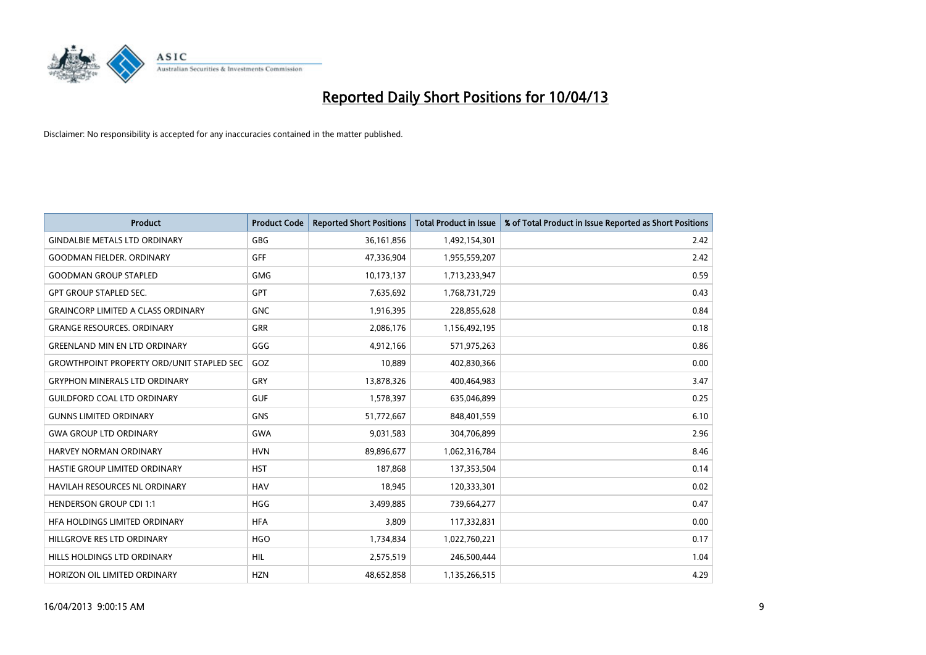

| <b>Product</b>                                   | <b>Product Code</b> | <b>Reported Short Positions</b> | <b>Total Product in Issue</b> | % of Total Product in Issue Reported as Short Positions |
|--------------------------------------------------|---------------------|---------------------------------|-------------------------------|---------------------------------------------------------|
| <b>GINDALBIE METALS LTD ORDINARY</b>             | <b>GBG</b>          | 36, 161, 856                    | 1,492,154,301                 | 2.42                                                    |
| <b>GOODMAN FIELDER. ORDINARY</b>                 | GFF                 | 47,336,904                      | 1,955,559,207                 | 2.42                                                    |
| <b>GOODMAN GROUP STAPLED</b>                     | <b>GMG</b>          | 10,173,137                      | 1,713,233,947                 | 0.59                                                    |
| <b>GPT GROUP STAPLED SEC.</b>                    | GPT                 | 7,635,692                       | 1,768,731,729                 | 0.43                                                    |
| <b>GRAINCORP LIMITED A CLASS ORDINARY</b>        | <b>GNC</b>          | 1,916,395                       | 228,855,628                   | 0.84                                                    |
| <b>GRANGE RESOURCES, ORDINARY</b>                | <b>GRR</b>          | 2,086,176                       | 1,156,492,195                 | 0.18                                                    |
| <b>GREENLAND MIN EN LTD ORDINARY</b>             | GGG                 | 4,912,166                       | 571,975,263                   | 0.86                                                    |
| <b>GROWTHPOINT PROPERTY ORD/UNIT STAPLED SEC</b> | GOZ                 | 10,889                          | 402,830,366                   | 0.00                                                    |
| <b>GRYPHON MINERALS LTD ORDINARY</b>             | GRY                 | 13,878,326                      | 400,464,983                   | 3.47                                                    |
| <b>GUILDFORD COAL LTD ORDINARY</b>               | <b>GUF</b>          | 1,578,397                       | 635,046,899                   | 0.25                                                    |
| <b>GUNNS LIMITED ORDINARY</b>                    | <b>GNS</b>          | 51,772,667                      | 848,401,559                   | 6.10                                                    |
| <b>GWA GROUP LTD ORDINARY</b>                    | <b>GWA</b>          | 9,031,583                       | 304,706,899                   | 2.96                                                    |
| <b>HARVEY NORMAN ORDINARY</b>                    | <b>HVN</b>          | 89,896,677                      | 1,062,316,784                 | 8.46                                                    |
| HASTIE GROUP LIMITED ORDINARY                    | <b>HST</b>          | 187,868                         | 137,353,504                   | 0.14                                                    |
| HAVILAH RESOURCES NL ORDINARY                    | <b>HAV</b>          | 18,945                          | 120,333,301                   | 0.02                                                    |
| <b>HENDERSON GROUP CDI 1:1</b>                   | <b>HGG</b>          | 3,499,885                       | 739,664,277                   | 0.47                                                    |
| HFA HOLDINGS LIMITED ORDINARY                    | <b>HFA</b>          | 3,809                           | 117,332,831                   | 0.00                                                    |
| HILLGROVE RES LTD ORDINARY                       | <b>HGO</b>          | 1,734,834                       | 1,022,760,221                 | 0.17                                                    |
| HILLS HOLDINGS LTD ORDINARY                      | <b>HIL</b>          | 2,575,519                       | 246,500,444                   | 1.04                                                    |
| HORIZON OIL LIMITED ORDINARY                     | <b>HZN</b>          | 48.652.858                      | 1,135,266,515                 | 4.29                                                    |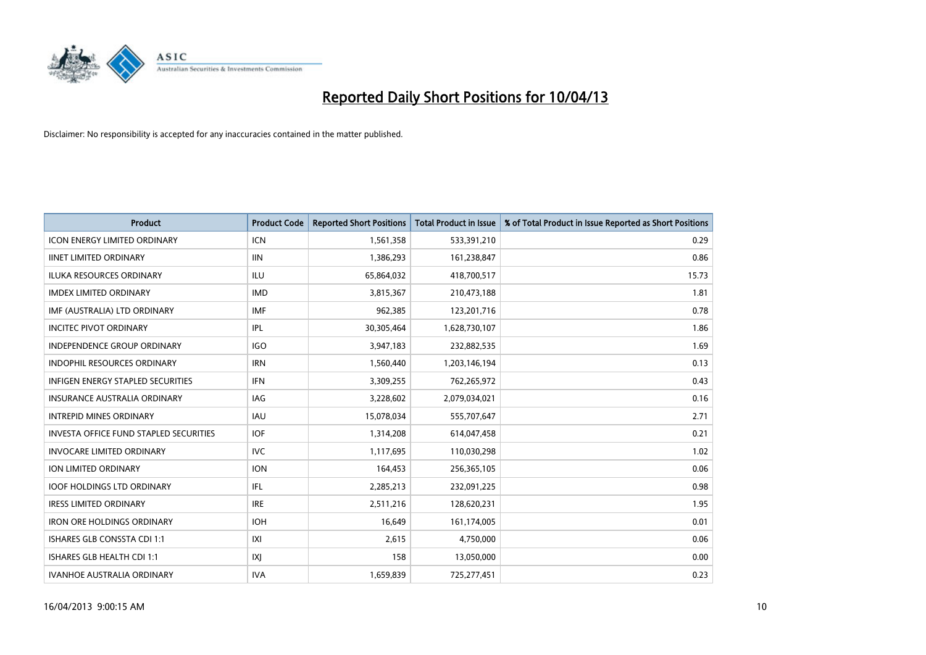

| <b>Product</b>                                | <b>Product Code</b> | <b>Reported Short Positions</b> | <b>Total Product in Issue</b> | % of Total Product in Issue Reported as Short Positions |
|-----------------------------------------------|---------------------|---------------------------------|-------------------------------|---------------------------------------------------------|
| <b>ICON ENERGY LIMITED ORDINARY</b>           | <b>ICN</b>          | 1,561,358                       | 533,391,210                   | 0.29                                                    |
| <b>IINET LIMITED ORDINARY</b>                 | <b>IIN</b>          | 1,386,293                       | 161,238,847                   | 0.86                                                    |
| <b>ILUKA RESOURCES ORDINARY</b>               | ILU                 | 65,864,032                      | 418,700,517                   | 15.73                                                   |
| <b>IMDEX LIMITED ORDINARY</b>                 | <b>IMD</b>          | 3,815,367                       | 210,473,188                   | 1.81                                                    |
| IMF (AUSTRALIA) LTD ORDINARY                  | <b>IMF</b>          | 962,385                         | 123,201,716                   | 0.78                                                    |
| <b>INCITEC PIVOT ORDINARY</b>                 | IPL                 | 30,305,464                      | 1,628,730,107                 | 1.86                                                    |
| <b>INDEPENDENCE GROUP ORDINARY</b>            | <b>IGO</b>          | 3,947,183                       | 232,882,535                   | 1.69                                                    |
| INDOPHIL RESOURCES ORDINARY                   | <b>IRN</b>          | 1,560,440                       | 1,203,146,194                 | 0.13                                                    |
| <b>INFIGEN ENERGY STAPLED SECURITIES</b>      | <b>IFN</b>          | 3,309,255                       | 762,265,972                   | 0.43                                                    |
| <b>INSURANCE AUSTRALIA ORDINARY</b>           | IAG                 | 3,228,602                       | 2,079,034,021                 | 0.16                                                    |
| <b>INTREPID MINES ORDINARY</b>                | <b>IAU</b>          | 15,078,034                      | 555,707,647                   | 2.71                                                    |
| <b>INVESTA OFFICE FUND STAPLED SECURITIES</b> | <b>IOF</b>          | 1,314,208                       | 614,047,458                   | 0.21                                                    |
| <b>INVOCARE LIMITED ORDINARY</b>              | <b>IVC</b>          | 1,117,695                       | 110,030,298                   | 1.02                                                    |
| <b>ION LIMITED ORDINARY</b>                   | <b>ION</b>          | 164,453                         | 256,365,105                   | 0.06                                                    |
| <b>IOOF HOLDINGS LTD ORDINARY</b>             | IFL                 | 2,285,213                       | 232,091,225                   | 0.98                                                    |
| <b>IRESS LIMITED ORDINARY</b>                 | <b>IRE</b>          | 2,511,216                       | 128,620,231                   | 1.95                                                    |
| <b>IRON ORE HOLDINGS ORDINARY</b>             | <b>IOH</b>          | 16,649                          | 161,174,005                   | 0.01                                                    |
| ISHARES GLB CONSSTA CDI 1:1                   | IXI                 | 2,615                           | 4,750,000                     | 0.06                                                    |
| ISHARES GLB HEALTH CDI 1:1                    | IXJ                 | 158                             | 13,050,000                    | 0.00                                                    |
| <b>IVANHOE AUSTRALIA ORDINARY</b>             | <b>IVA</b>          | 1,659,839                       | 725,277,451                   | 0.23                                                    |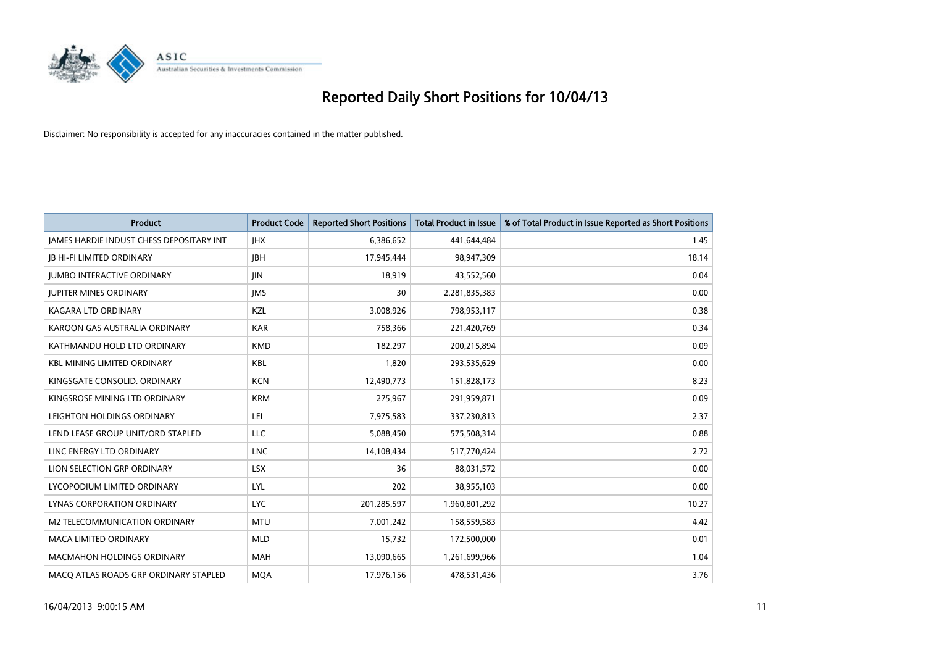

| <b>Product</b>                           | <b>Product Code</b> | <b>Reported Short Positions</b> | <b>Total Product in Issue</b> | % of Total Product in Issue Reported as Short Positions |
|------------------------------------------|---------------------|---------------------------------|-------------------------------|---------------------------------------------------------|
| JAMES HARDIE INDUST CHESS DEPOSITARY INT | <b>IHX</b>          | 6,386,652                       | 441,644,484                   | 1.45                                                    |
| <b>JB HI-FI LIMITED ORDINARY</b>         | <b>JBH</b>          | 17,945,444                      | 98,947,309                    | 18.14                                                   |
| <b>JUMBO INTERACTIVE ORDINARY</b>        | <b>JIN</b>          | 18,919                          | 43,552,560                    | 0.04                                                    |
| <b>JUPITER MINES ORDINARY</b>            | <b>IMS</b>          | 30                              | 2,281,835,383                 | 0.00                                                    |
| <b>KAGARA LTD ORDINARY</b>               | KZL                 | 3,008,926                       | 798,953,117                   | 0.38                                                    |
| KAROON GAS AUSTRALIA ORDINARY            | <b>KAR</b>          | 758,366                         | 221,420,769                   | 0.34                                                    |
| KATHMANDU HOLD LTD ORDINARY              | <b>KMD</b>          | 182,297                         | 200,215,894                   | 0.09                                                    |
| <b>KBL MINING LIMITED ORDINARY</b>       | <b>KBL</b>          | 1,820                           | 293,535,629                   | 0.00                                                    |
| KINGSGATE CONSOLID. ORDINARY             | <b>KCN</b>          | 12,490,773                      | 151,828,173                   | 8.23                                                    |
| KINGSROSE MINING LTD ORDINARY            | <b>KRM</b>          | 275,967                         | 291,959,871                   | 0.09                                                    |
| LEIGHTON HOLDINGS ORDINARY               | LEI                 | 7,975,583                       | 337,230,813                   | 2.37                                                    |
| LEND LEASE GROUP UNIT/ORD STAPLED        | LLC                 | 5,088,450                       | 575,508,314                   | 0.88                                                    |
| LINC ENERGY LTD ORDINARY                 | <b>LNC</b>          | 14,108,434                      | 517,770,424                   | 2.72                                                    |
| LION SELECTION GRP ORDINARY              | <b>LSX</b>          | 36                              | 88,031,572                    | 0.00                                                    |
| LYCOPODIUM LIMITED ORDINARY              | LYL                 | 202                             | 38,955,103                    | 0.00                                                    |
| LYNAS CORPORATION ORDINARY               | <b>LYC</b>          | 201,285,597                     | 1,960,801,292                 | 10.27                                                   |
| M2 TELECOMMUNICATION ORDINARY            | <b>MTU</b>          | 7,001,242                       | 158,559,583                   | 4.42                                                    |
| <b>MACA LIMITED ORDINARY</b>             | <b>MLD</b>          | 15,732                          | 172,500,000                   | 0.01                                                    |
| <b>MACMAHON HOLDINGS ORDINARY</b>        | <b>MAH</b>          | 13,090,665                      | 1,261,699,966                 | 1.04                                                    |
| MACO ATLAS ROADS GRP ORDINARY STAPLED    | <b>MOA</b>          | 17,976,156                      | 478,531,436                   | 3.76                                                    |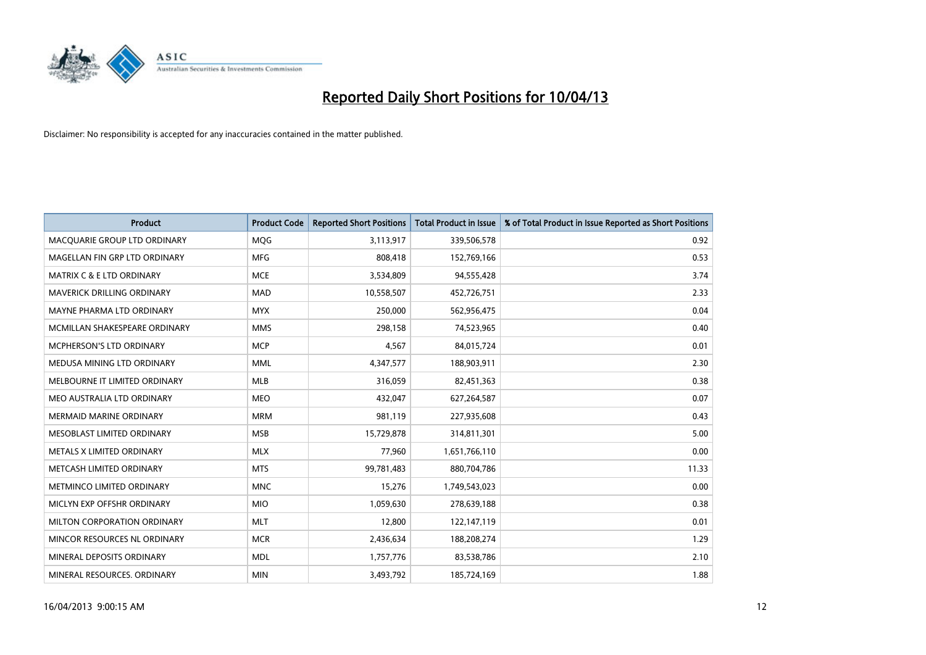

| <b>Product</b>                       | <b>Product Code</b> | <b>Reported Short Positions</b> | <b>Total Product in Issue</b> | % of Total Product in Issue Reported as Short Positions |
|--------------------------------------|---------------------|---------------------------------|-------------------------------|---------------------------------------------------------|
| MACQUARIE GROUP LTD ORDINARY         | <b>MOG</b>          | 3,113,917                       | 339,506,578                   | 0.92                                                    |
| MAGELLAN FIN GRP LTD ORDINARY        | <b>MFG</b>          | 808,418                         | 152,769,166                   | 0.53                                                    |
| <b>MATRIX C &amp; E LTD ORDINARY</b> | <b>MCE</b>          | 3,534,809                       | 94,555,428                    | 3.74                                                    |
| MAVERICK DRILLING ORDINARY           | <b>MAD</b>          | 10,558,507                      | 452,726,751                   | 2.33                                                    |
| MAYNE PHARMA LTD ORDINARY            | <b>MYX</b>          | 250,000                         | 562,956,475                   | 0.04                                                    |
| MCMILLAN SHAKESPEARE ORDINARY        | <b>MMS</b>          | 298,158                         | 74,523,965                    | 0.40                                                    |
| <b>MCPHERSON'S LTD ORDINARY</b>      | <b>MCP</b>          | 4,567                           | 84,015,724                    | 0.01                                                    |
| MEDUSA MINING LTD ORDINARY           | <b>MML</b>          | 4,347,577                       | 188,903,911                   | 2.30                                                    |
| MELBOURNE IT LIMITED ORDINARY        | <b>MLB</b>          | 316,059                         | 82,451,363                    | 0.38                                                    |
| MEO AUSTRALIA LTD ORDINARY           | <b>MEO</b>          | 432,047                         | 627,264,587                   | 0.07                                                    |
| <b>MERMAID MARINE ORDINARY</b>       | <b>MRM</b>          | 981,119                         | 227,935,608                   | 0.43                                                    |
| MESOBLAST LIMITED ORDINARY           | <b>MSB</b>          | 15,729,878                      | 314,811,301                   | 5.00                                                    |
| METALS X LIMITED ORDINARY            | <b>MLX</b>          | 77,960                          | 1,651,766,110                 | 0.00                                                    |
| METCASH LIMITED ORDINARY             | <b>MTS</b>          | 99,781,483                      | 880,704,786                   | 11.33                                                   |
| METMINCO LIMITED ORDINARY            | <b>MNC</b>          | 15,276                          | 1,749,543,023                 | 0.00                                                    |
| MICLYN EXP OFFSHR ORDINARY           | <b>MIO</b>          | 1,059,630                       | 278,639,188                   | 0.38                                                    |
| MILTON CORPORATION ORDINARY          | <b>MLT</b>          | 12,800                          | 122,147,119                   | 0.01                                                    |
| MINCOR RESOURCES NL ORDINARY         | <b>MCR</b>          | 2,436,634                       | 188,208,274                   | 1.29                                                    |
| MINERAL DEPOSITS ORDINARY            | <b>MDL</b>          | 1,757,776                       | 83,538,786                    | 2.10                                                    |
| MINERAL RESOURCES. ORDINARY          | <b>MIN</b>          | 3,493,792                       | 185,724,169                   | 1.88                                                    |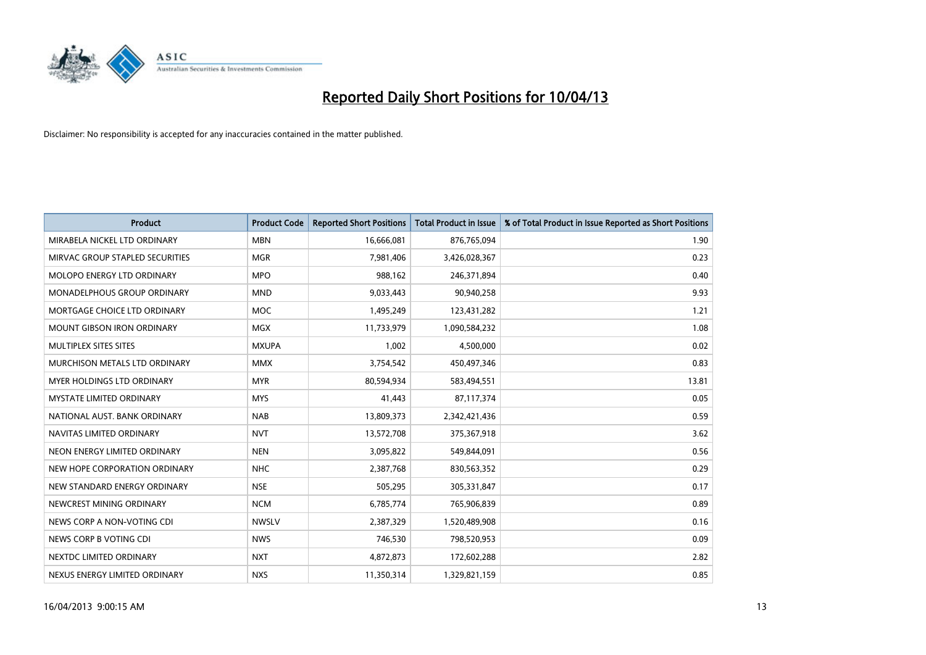

| <b>Product</b>                    | <b>Product Code</b> | <b>Reported Short Positions</b> | <b>Total Product in Issue</b> | % of Total Product in Issue Reported as Short Positions |
|-----------------------------------|---------------------|---------------------------------|-------------------------------|---------------------------------------------------------|
| MIRABELA NICKEL LTD ORDINARY      | <b>MBN</b>          | 16,666,081                      | 876,765,094                   | 1.90                                                    |
| MIRVAC GROUP STAPLED SECURITIES   | <b>MGR</b>          | 7,981,406                       | 3,426,028,367                 | 0.23                                                    |
| MOLOPO ENERGY LTD ORDINARY        | <b>MPO</b>          | 988,162                         | 246,371,894                   | 0.40                                                    |
| MONADELPHOUS GROUP ORDINARY       | <b>MND</b>          | 9,033,443                       | 90,940,258                    | 9.93                                                    |
| MORTGAGE CHOICE LTD ORDINARY      | <b>MOC</b>          | 1,495,249                       | 123,431,282                   | 1.21                                                    |
| <b>MOUNT GIBSON IRON ORDINARY</b> | MGX                 | 11,733,979                      | 1,090,584,232                 | 1.08                                                    |
| MULTIPLEX SITES SITES             | <b>MXUPA</b>        | 1,002                           | 4,500,000                     | 0.02                                                    |
| MURCHISON METALS LTD ORDINARY     | <b>MMX</b>          | 3,754,542                       | 450,497,346                   | 0.83                                                    |
| <b>MYER HOLDINGS LTD ORDINARY</b> | <b>MYR</b>          | 80,594,934                      | 583,494,551                   | 13.81                                                   |
| <b>MYSTATE LIMITED ORDINARY</b>   | <b>MYS</b>          | 41,443                          | 87,117,374                    | 0.05                                                    |
| NATIONAL AUST. BANK ORDINARY      | <b>NAB</b>          | 13,809,373                      | 2,342,421,436                 | 0.59                                                    |
| NAVITAS LIMITED ORDINARY          | <b>NVT</b>          | 13,572,708                      | 375,367,918                   | 3.62                                                    |
| NEON ENERGY LIMITED ORDINARY      | <b>NEN</b>          | 3,095,822                       | 549,844,091                   | 0.56                                                    |
| NEW HOPE CORPORATION ORDINARY     | <b>NHC</b>          | 2,387,768                       | 830,563,352                   | 0.29                                                    |
| NEW STANDARD ENERGY ORDINARY      | <b>NSE</b>          | 505,295                         | 305,331,847                   | 0.17                                                    |
| NEWCREST MINING ORDINARY          | <b>NCM</b>          | 6,785,774                       | 765,906,839                   | 0.89                                                    |
| NEWS CORP A NON-VOTING CDI        | <b>NWSLV</b>        | 2,387,329                       | 1,520,489,908                 | 0.16                                                    |
| NEWS CORP B VOTING CDI            | <b>NWS</b>          | 746,530                         | 798,520,953                   | 0.09                                                    |
| NEXTDC LIMITED ORDINARY           | <b>NXT</b>          | 4,872,873                       | 172,602,288                   | 2.82                                                    |
| NEXUS ENERGY LIMITED ORDINARY     | <b>NXS</b>          | 11,350,314                      | 1,329,821,159                 | 0.85                                                    |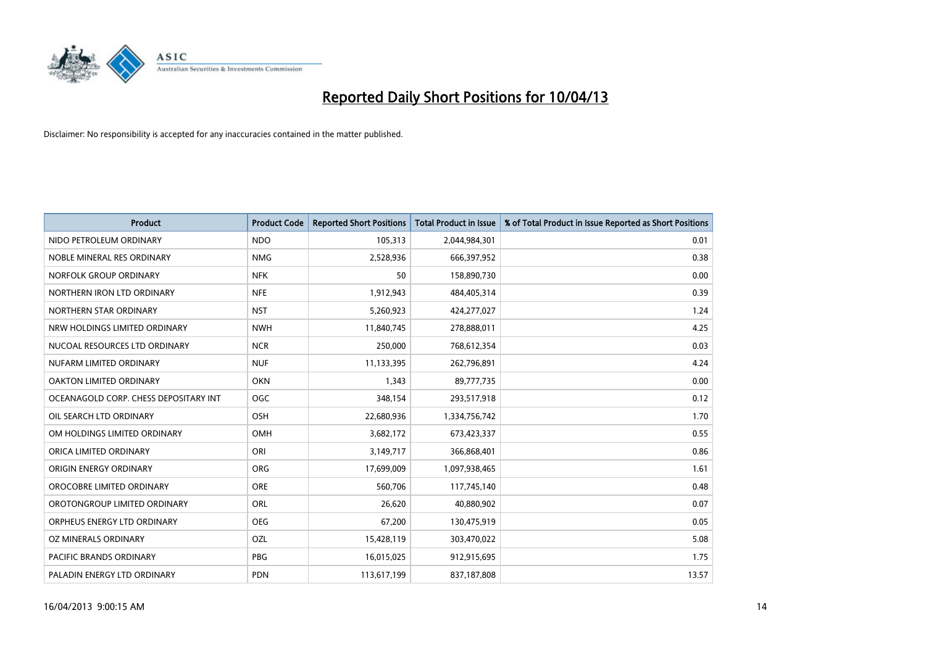

| <b>Product</b>                        | <b>Product Code</b> | <b>Reported Short Positions</b> | <b>Total Product in Issue</b> | % of Total Product in Issue Reported as Short Positions |
|---------------------------------------|---------------------|---------------------------------|-------------------------------|---------------------------------------------------------|
| NIDO PETROLEUM ORDINARY               | <b>NDO</b>          | 105,313                         | 2,044,984,301                 | 0.01                                                    |
| NOBLE MINERAL RES ORDINARY            | <b>NMG</b>          | 2,528,936                       | 666,397,952                   | 0.38                                                    |
| NORFOLK GROUP ORDINARY                | <b>NFK</b>          | 50                              | 158,890,730                   | 0.00                                                    |
| NORTHERN IRON LTD ORDINARY            | <b>NFE</b>          | 1,912,943                       | 484,405,314                   | 0.39                                                    |
| NORTHERN STAR ORDINARY                | <b>NST</b>          | 5,260,923                       | 424,277,027                   | 1.24                                                    |
| NRW HOLDINGS LIMITED ORDINARY         | <b>NWH</b>          | 11,840,745                      | 278,888,011                   | 4.25                                                    |
| NUCOAL RESOURCES LTD ORDINARY         | <b>NCR</b>          | 250,000                         | 768,612,354                   | 0.03                                                    |
| NUFARM LIMITED ORDINARY               | <b>NUF</b>          | 11,133,395                      | 262,796,891                   | 4.24                                                    |
| OAKTON LIMITED ORDINARY               | <b>OKN</b>          | 1,343                           | 89,777,735                    | 0.00                                                    |
| OCEANAGOLD CORP. CHESS DEPOSITARY INT | <b>OGC</b>          | 348,154                         | 293,517,918                   | 0.12                                                    |
| OIL SEARCH LTD ORDINARY               | OSH                 | 22,680,936                      | 1,334,756,742                 | 1.70                                                    |
| OM HOLDINGS LIMITED ORDINARY          | OMH                 | 3,682,172                       | 673,423,337                   | 0.55                                                    |
| ORICA LIMITED ORDINARY                | ORI                 | 3,149,717                       | 366,868,401                   | 0.86                                                    |
| ORIGIN ENERGY ORDINARY                | <b>ORG</b>          | 17,699,009                      | 1,097,938,465                 | 1.61                                                    |
| OROCOBRE LIMITED ORDINARY             | <b>ORE</b>          | 560,706                         | 117,745,140                   | 0.48                                                    |
| OROTONGROUP LIMITED ORDINARY          | ORL                 | 26,620                          | 40,880,902                    | 0.07                                                    |
| ORPHEUS ENERGY LTD ORDINARY           | <b>OEG</b>          | 67,200                          | 130,475,919                   | 0.05                                                    |
| OZ MINERALS ORDINARY                  | OZL                 | 15,428,119                      | 303,470,022                   | 5.08                                                    |
| <b>PACIFIC BRANDS ORDINARY</b>        | <b>PBG</b>          | 16,015,025                      | 912,915,695                   | 1.75                                                    |
| PALADIN ENERGY LTD ORDINARY           | <b>PDN</b>          | 113,617,199                     | 837,187,808                   | 13.57                                                   |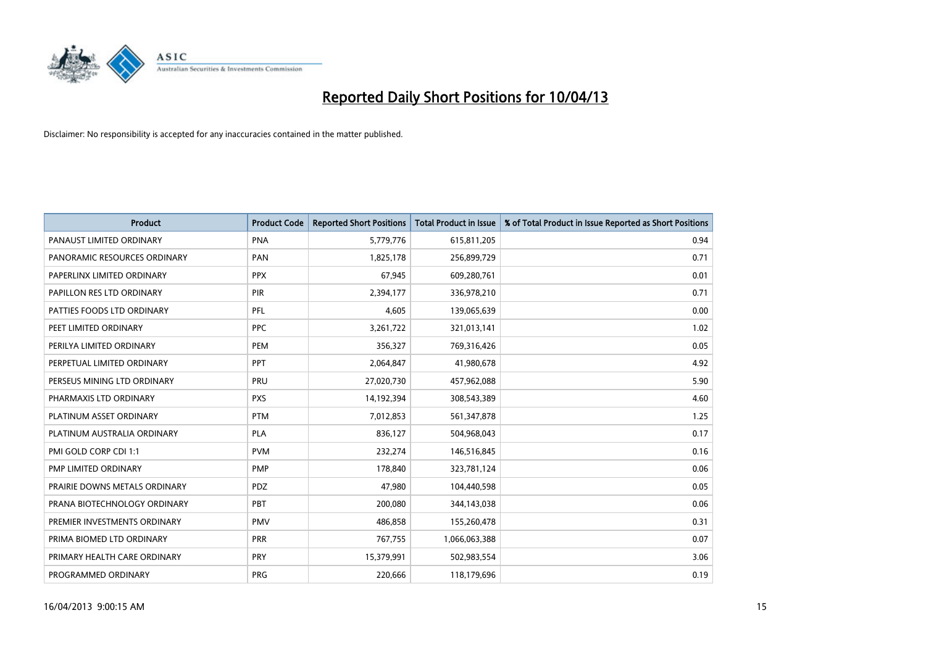

| <b>Product</b>                | <b>Product Code</b> | <b>Reported Short Positions</b> | <b>Total Product in Issue</b> | % of Total Product in Issue Reported as Short Positions |
|-------------------------------|---------------------|---------------------------------|-------------------------------|---------------------------------------------------------|
| PANAUST LIMITED ORDINARY      | <b>PNA</b>          | 5,779,776                       | 615,811,205                   | 0.94                                                    |
| PANORAMIC RESOURCES ORDINARY  | <b>PAN</b>          | 1,825,178                       | 256,899,729                   | 0.71                                                    |
| PAPERLINX LIMITED ORDINARY    | <b>PPX</b>          | 67,945                          | 609,280,761                   | 0.01                                                    |
| PAPILLON RES LTD ORDINARY     | <b>PIR</b>          | 2,394,177                       | 336,978,210                   | 0.71                                                    |
| PATTIES FOODS LTD ORDINARY    | PFL                 | 4,605                           | 139,065,639                   | 0.00                                                    |
| PEET LIMITED ORDINARY         | <b>PPC</b>          | 3,261,722                       | 321,013,141                   | 1.02                                                    |
| PERILYA LIMITED ORDINARY      | <b>PEM</b>          | 356,327                         | 769,316,426                   | 0.05                                                    |
| PERPETUAL LIMITED ORDINARY    | PPT                 | 2,064,847                       | 41,980,678                    | 4.92                                                    |
| PERSEUS MINING LTD ORDINARY   | PRU                 | 27,020,730                      | 457,962,088                   | 5.90                                                    |
| PHARMAXIS LTD ORDINARY        | <b>PXS</b>          | 14,192,394                      | 308,543,389                   | 4.60                                                    |
| PLATINUM ASSET ORDINARY       | <b>PTM</b>          | 7,012,853                       | 561,347,878                   | 1.25                                                    |
| PLATINUM AUSTRALIA ORDINARY   | <b>PLA</b>          | 836,127                         | 504,968,043                   | 0.17                                                    |
| PMI GOLD CORP CDI 1:1         | <b>PVM</b>          | 232,274                         | 146,516,845                   | 0.16                                                    |
| PMP LIMITED ORDINARY          | <b>PMP</b>          | 178,840                         | 323,781,124                   | 0.06                                                    |
| PRAIRIE DOWNS METALS ORDINARY | PDZ                 | 47,980                          | 104,440,598                   | 0.05                                                    |
| PRANA BIOTECHNOLOGY ORDINARY  | <b>PBT</b>          | 200,080                         | 344,143,038                   | 0.06                                                    |
| PREMIER INVESTMENTS ORDINARY  | <b>PMV</b>          | 486,858                         | 155,260,478                   | 0.31                                                    |
| PRIMA BIOMED LTD ORDINARY     | <b>PRR</b>          | 767,755                         | 1,066,063,388                 | 0.07                                                    |
| PRIMARY HEALTH CARE ORDINARY  | <b>PRY</b>          | 15,379,991                      | 502,983,554                   | 3.06                                                    |
| PROGRAMMED ORDINARY           | <b>PRG</b>          | 220,666                         | 118,179,696                   | 0.19                                                    |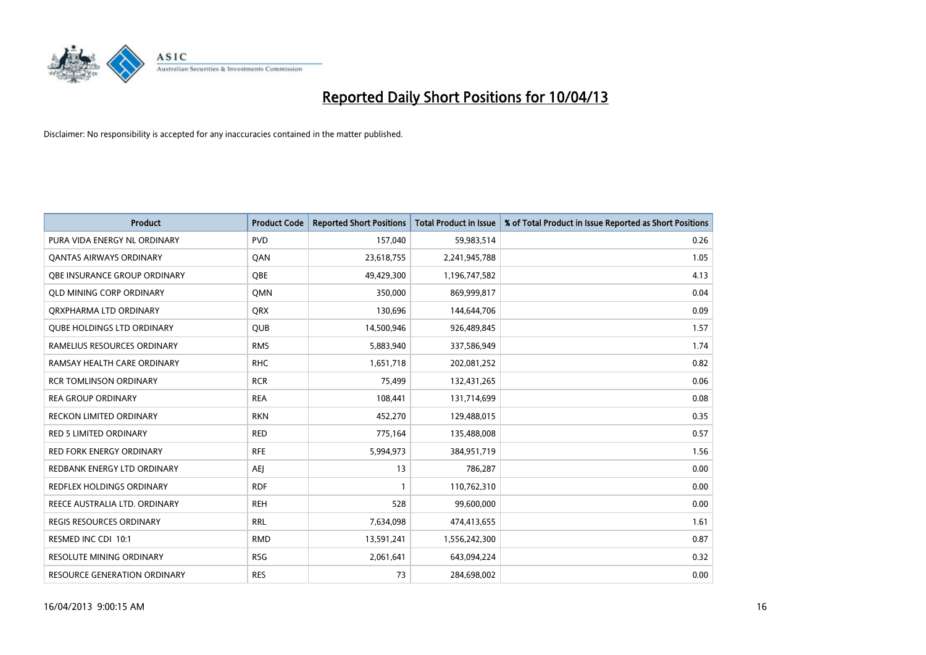

| <b>Product</b>                    | <b>Product Code</b> | <b>Reported Short Positions</b> | <b>Total Product in Issue</b> | % of Total Product in Issue Reported as Short Positions |
|-----------------------------------|---------------------|---------------------------------|-------------------------------|---------------------------------------------------------|
| PURA VIDA ENERGY NL ORDINARY      | <b>PVD</b>          | 157,040                         | 59,983,514                    | 0.26                                                    |
| <b>QANTAS AIRWAYS ORDINARY</b>    | QAN                 | 23,618,755                      | 2,241,945,788                 | 1.05                                                    |
| OBE INSURANCE GROUP ORDINARY      | OBE                 | 49,429,300                      | 1,196,747,582                 | 4.13                                                    |
| <b>QLD MINING CORP ORDINARY</b>   | <b>OMN</b>          | 350,000                         | 869,999,817                   | 0.04                                                    |
| ORXPHARMA LTD ORDINARY            | <b>ORX</b>          | 130,696                         | 144,644,706                   | 0.09                                                    |
| <b>QUBE HOLDINGS LTD ORDINARY</b> | QUB                 | 14,500,946                      | 926,489,845                   | 1.57                                                    |
| RAMELIUS RESOURCES ORDINARY       | <b>RMS</b>          | 5,883,940                       | 337,586,949                   | 1.74                                                    |
| RAMSAY HEALTH CARE ORDINARY       | <b>RHC</b>          | 1,651,718                       | 202,081,252                   | 0.82                                                    |
| <b>RCR TOMLINSON ORDINARY</b>     | <b>RCR</b>          | 75.499                          | 132,431,265                   | 0.06                                                    |
| <b>REA GROUP ORDINARY</b>         | <b>REA</b>          | 108,441                         | 131,714,699                   | 0.08                                                    |
| RECKON LIMITED ORDINARY           | <b>RKN</b>          | 452,270                         | 129,488,015                   | 0.35                                                    |
| <b>RED 5 LIMITED ORDINARY</b>     | <b>RED</b>          | 775,164                         | 135,488,008                   | 0.57                                                    |
| <b>RED FORK ENERGY ORDINARY</b>   | <b>RFE</b>          | 5,994,973                       | 384,951,719                   | 1.56                                                    |
| REDBANK ENERGY LTD ORDINARY       | AEJ                 | 13                              | 786,287                       | 0.00                                                    |
| REDFLEX HOLDINGS ORDINARY         | <b>RDF</b>          | $\mathbf{1}$                    | 110,762,310                   | 0.00                                                    |
| REECE AUSTRALIA LTD. ORDINARY     | <b>REH</b>          | 528                             | 99,600,000                    | 0.00                                                    |
| REGIS RESOURCES ORDINARY          | <b>RRL</b>          | 7,634,098                       | 474,413,655                   | 1.61                                                    |
| RESMED INC CDI 10:1               | <b>RMD</b>          | 13,591,241                      | 1,556,242,300                 | 0.87                                                    |
| <b>RESOLUTE MINING ORDINARY</b>   | <b>RSG</b>          | 2,061,641                       | 643,094,224                   | 0.32                                                    |
| RESOURCE GENERATION ORDINARY      | <b>RES</b>          | 73                              | 284,698,002                   | 0.00                                                    |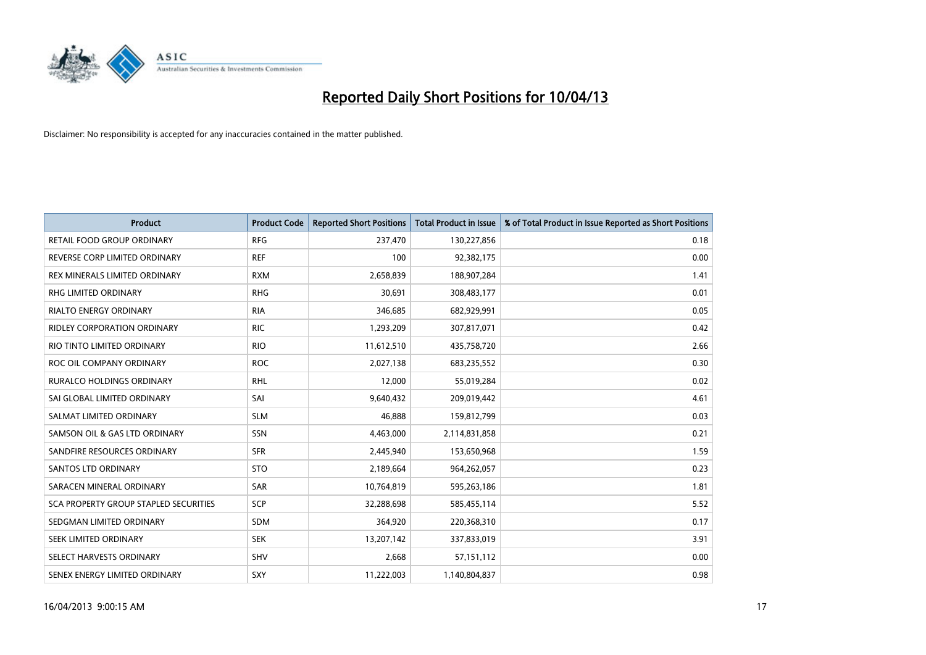

| <b>Product</b>                        | <b>Product Code</b> | <b>Reported Short Positions</b> | <b>Total Product in Issue</b> | % of Total Product in Issue Reported as Short Positions |
|---------------------------------------|---------------------|---------------------------------|-------------------------------|---------------------------------------------------------|
| <b>RETAIL FOOD GROUP ORDINARY</b>     | <b>RFG</b>          | 237,470                         | 130,227,856                   | 0.18                                                    |
| REVERSE CORP LIMITED ORDINARY         | <b>REF</b>          | 100                             | 92,382,175                    | 0.00                                                    |
| REX MINERALS LIMITED ORDINARY         | <b>RXM</b>          | 2,658,839                       | 188,907,284                   | 1.41                                                    |
| RHG LIMITED ORDINARY                  | <b>RHG</b>          | 30,691                          | 308,483,177                   | 0.01                                                    |
| <b>RIALTO ENERGY ORDINARY</b>         | <b>RIA</b>          | 346,685                         | 682,929,991                   | 0.05                                                    |
| <b>RIDLEY CORPORATION ORDINARY</b>    | <b>RIC</b>          | 1,293,209                       | 307,817,071                   | 0.42                                                    |
| RIO TINTO LIMITED ORDINARY            | <b>RIO</b>          | 11,612,510                      | 435,758,720                   | 2.66                                                    |
| ROC OIL COMPANY ORDINARY              | <b>ROC</b>          | 2,027,138                       | 683,235,552                   | 0.30                                                    |
| <b>RURALCO HOLDINGS ORDINARY</b>      | <b>RHL</b>          | 12,000                          | 55,019,284                    | 0.02                                                    |
| SAI GLOBAL LIMITED ORDINARY           | SAI                 | 9,640,432                       | 209,019,442                   | 4.61                                                    |
| SALMAT LIMITED ORDINARY               | <b>SLM</b>          | 46,888                          | 159,812,799                   | 0.03                                                    |
| SAMSON OIL & GAS LTD ORDINARY         | SSN                 | 4,463,000                       | 2,114,831,858                 | 0.21                                                    |
| SANDFIRE RESOURCES ORDINARY           | <b>SFR</b>          | 2,445,940                       | 153,650,968                   | 1.59                                                    |
| <b>SANTOS LTD ORDINARY</b>            | <b>STO</b>          | 2,189,664                       | 964,262,057                   | 0.23                                                    |
| SARACEN MINERAL ORDINARY              | <b>SAR</b>          | 10,764,819                      | 595,263,186                   | 1.81                                                    |
| SCA PROPERTY GROUP STAPLED SECURITIES | SCP                 | 32,288,698                      | 585,455,114                   | 5.52                                                    |
| SEDGMAN LIMITED ORDINARY              | SDM                 | 364,920                         | 220,368,310                   | 0.17                                                    |
| SEEK LIMITED ORDINARY                 | <b>SEK</b>          | 13,207,142                      | 337,833,019                   | 3.91                                                    |
| SELECT HARVESTS ORDINARY              | SHV                 | 2,668                           | 57, 151, 112                  | 0.00                                                    |
| SENEX ENERGY LIMITED ORDINARY         | SXY                 | 11,222,003                      | 1,140,804,837                 | 0.98                                                    |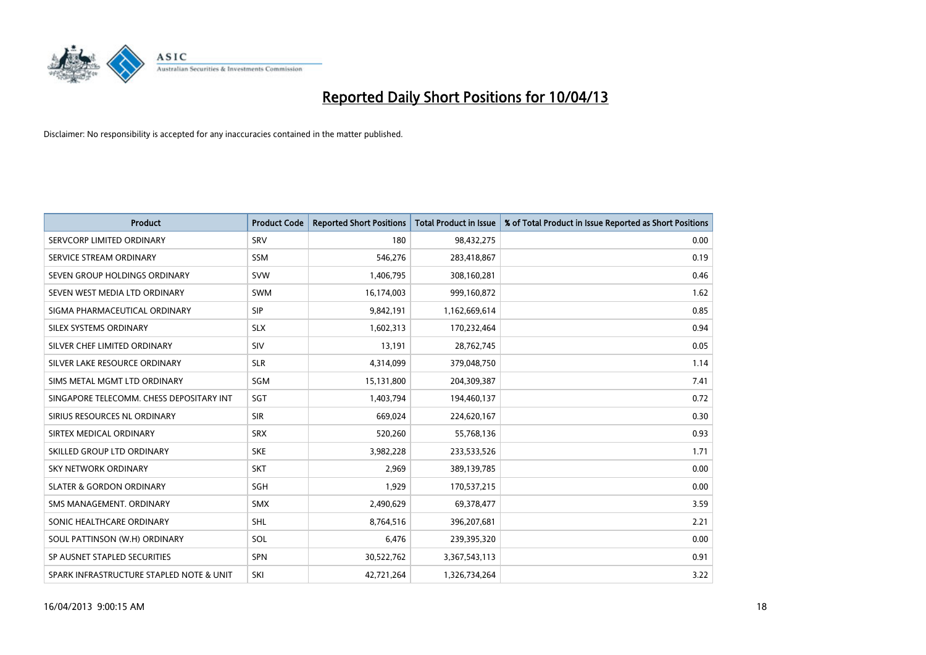

| <b>Product</b>                           | <b>Product Code</b> | <b>Reported Short Positions</b> | <b>Total Product in Issue</b> | % of Total Product in Issue Reported as Short Positions |
|------------------------------------------|---------------------|---------------------------------|-------------------------------|---------------------------------------------------------|
| SERVCORP LIMITED ORDINARY                | SRV                 | 180                             | 98,432,275                    | 0.00                                                    |
| SERVICE STREAM ORDINARY                  | SSM                 | 546,276                         | 283,418,867                   | 0.19                                                    |
| SEVEN GROUP HOLDINGS ORDINARY            | <b>SVW</b>          | 1,406,795                       | 308,160,281                   | 0.46                                                    |
| SEVEN WEST MEDIA LTD ORDINARY            | <b>SWM</b>          | 16,174,003                      | 999,160,872                   | 1.62                                                    |
| SIGMA PHARMACEUTICAL ORDINARY            | <b>SIP</b>          | 9,842,191                       | 1,162,669,614                 | 0.85                                                    |
| SILEX SYSTEMS ORDINARY                   | <b>SLX</b>          | 1,602,313                       | 170,232,464                   | 0.94                                                    |
| SILVER CHEF LIMITED ORDINARY             | <b>SIV</b>          | 13,191                          | 28,762,745                    | 0.05                                                    |
| SILVER LAKE RESOURCE ORDINARY            | <b>SLR</b>          | 4,314,099                       | 379,048,750                   | 1.14                                                    |
| SIMS METAL MGMT LTD ORDINARY             | <b>SGM</b>          | 15,131,800                      | 204,309,387                   | 7.41                                                    |
| SINGAPORE TELECOMM. CHESS DEPOSITARY INT | SGT                 | 1,403,794                       | 194,460,137                   | 0.72                                                    |
| SIRIUS RESOURCES NL ORDINARY             | <b>SIR</b>          | 669,024                         | 224,620,167                   | 0.30                                                    |
| SIRTEX MEDICAL ORDINARY                  | <b>SRX</b>          | 520,260                         | 55,768,136                    | 0.93                                                    |
| SKILLED GROUP LTD ORDINARY               | <b>SKE</b>          | 3,982,228                       | 233,533,526                   | 1.71                                                    |
| <b>SKY NETWORK ORDINARY</b>              | <b>SKT</b>          | 2,969                           | 389,139,785                   | 0.00                                                    |
| <b>SLATER &amp; GORDON ORDINARY</b>      | SGH                 | 1,929                           | 170,537,215                   | 0.00                                                    |
| SMS MANAGEMENT. ORDINARY                 | <b>SMX</b>          | 2,490,629                       | 69,378,477                    | 3.59                                                    |
| SONIC HEALTHCARE ORDINARY                | <b>SHL</b>          | 8,764,516                       | 396,207,681                   | 2.21                                                    |
| SOUL PATTINSON (W.H) ORDINARY            | <b>SOL</b>          | 6,476                           | 239,395,320                   | 0.00                                                    |
| SP AUSNET STAPLED SECURITIES             | <b>SPN</b>          | 30,522,762                      | 3,367,543,113                 | 0.91                                                    |
| SPARK INFRASTRUCTURE STAPLED NOTE & UNIT | SKI                 | 42,721,264                      | 1,326,734,264                 | 3.22                                                    |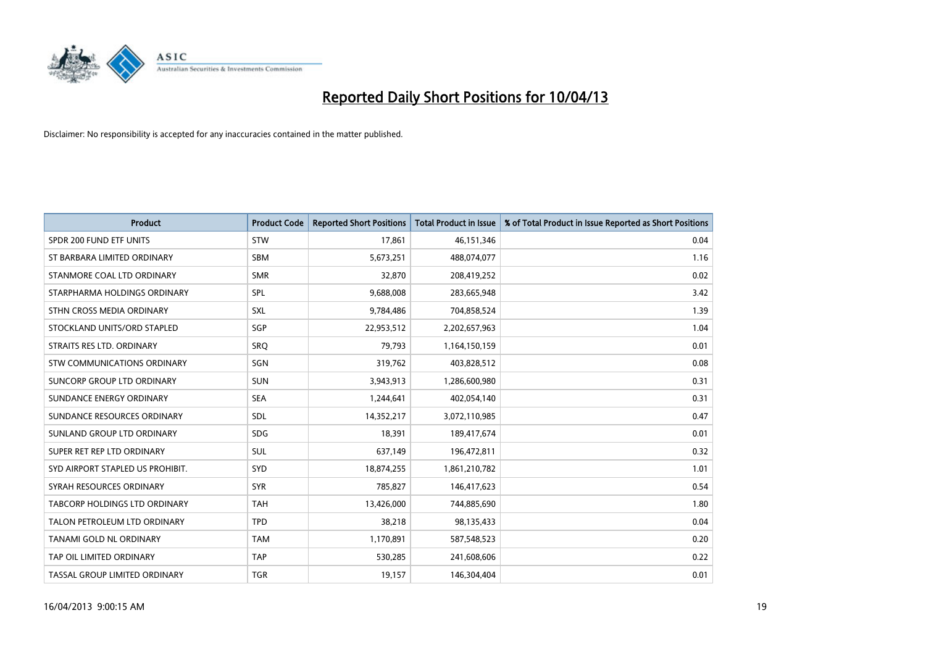

| <b>Product</b>                       | <b>Product Code</b> | <b>Reported Short Positions</b> | <b>Total Product in Issue</b> | % of Total Product in Issue Reported as Short Positions |
|--------------------------------------|---------------------|---------------------------------|-------------------------------|---------------------------------------------------------|
| SPDR 200 FUND ETF UNITS              | <b>STW</b>          | 17,861                          | 46, 151, 346                  | 0.04                                                    |
| ST BARBARA LIMITED ORDINARY          | <b>SBM</b>          | 5,673,251                       | 488,074,077                   | 1.16                                                    |
| STANMORE COAL LTD ORDINARY           | <b>SMR</b>          | 32,870                          | 208,419,252                   | 0.02                                                    |
| STARPHARMA HOLDINGS ORDINARY         | SPL                 | 9,688,008                       | 283,665,948                   | 3.42                                                    |
| STHN CROSS MEDIA ORDINARY            | SXL                 | 9,784,486                       | 704,858,524                   | 1.39                                                    |
| STOCKLAND UNITS/ORD STAPLED          | SGP                 | 22,953,512                      | 2,202,657,963                 | 1.04                                                    |
| STRAITS RES LTD. ORDINARY            | <b>SRO</b>          | 79,793                          | 1,164,150,159                 | 0.01                                                    |
| <b>STW COMMUNICATIONS ORDINARY</b>   | SGN                 | 319,762                         | 403,828,512                   | 0.08                                                    |
| SUNCORP GROUP LTD ORDINARY           | <b>SUN</b>          | 3,943,913                       | 1,286,600,980                 | 0.31                                                    |
| SUNDANCE ENERGY ORDINARY             | <b>SEA</b>          | 1,244,641                       | 402,054,140                   | 0.31                                                    |
| SUNDANCE RESOURCES ORDINARY          | <b>SDL</b>          | 14,352,217                      | 3,072,110,985                 | 0.47                                                    |
| SUNLAND GROUP LTD ORDINARY           | <b>SDG</b>          | 18,391                          | 189,417,674                   | 0.01                                                    |
| SUPER RET REP LTD ORDINARY           | <b>SUL</b>          | 637,149                         | 196,472,811                   | 0.32                                                    |
| SYD AIRPORT STAPLED US PROHIBIT.     | SYD                 | 18,874,255                      | 1,861,210,782                 | 1.01                                                    |
| SYRAH RESOURCES ORDINARY             | <b>SYR</b>          | 785,827                         | 146,417,623                   | 0.54                                                    |
| <b>TABCORP HOLDINGS LTD ORDINARY</b> | <b>TAH</b>          | 13,426,000                      | 744,885,690                   | 1.80                                                    |
| TALON PETROLEUM LTD ORDINARY         | <b>TPD</b>          | 38,218                          | 98,135,433                    | 0.04                                                    |
| TANAMI GOLD NL ORDINARY              | <b>TAM</b>          | 1,170,891                       | 587,548,523                   | 0.20                                                    |
| TAP OIL LIMITED ORDINARY             | <b>TAP</b>          | 530,285                         | 241,608,606                   | 0.22                                                    |
| TASSAL GROUP LIMITED ORDINARY        | <b>TGR</b>          | 19,157                          | 146,304,404                   | 0.01                                                    |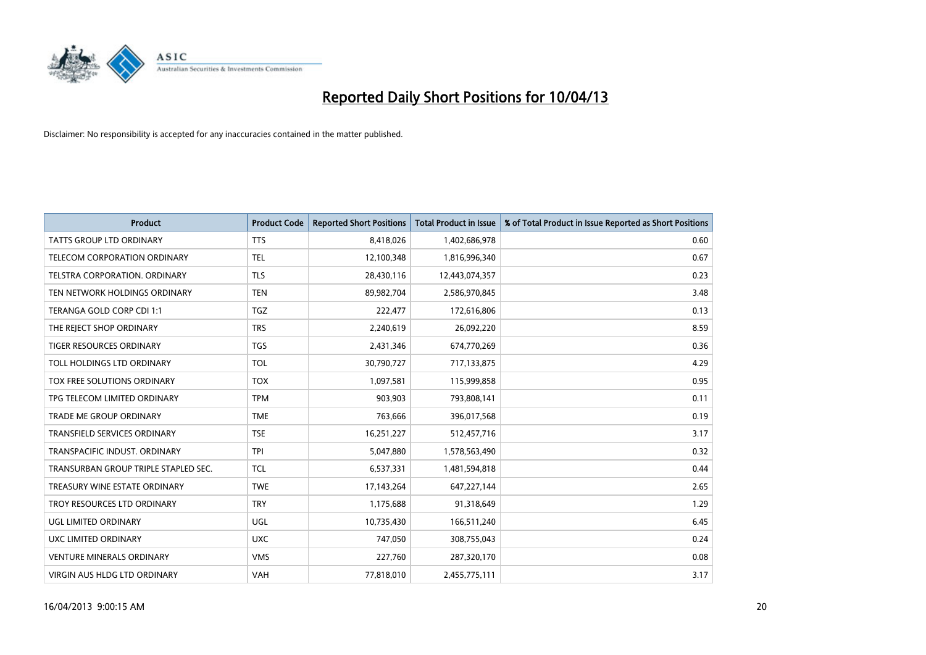

| <b>Product</b>                       | <b>Product Code</b> | <b>Reported Short Positions</b> | <b>Total Product in Issue</b> | % of Total Product in Issue Reported as Short Positions |
|--------------------------------------|---------------------|---------------------------------|-------------------------------|---------------------------------------------------------|
| <b>TATTS GROUP LTD ORDINARY</b>      | <b>TTS</b>          | 8,418,026                       | 1,402,686,978                 | 0.60                                                    |
| TELECOM CORPORATION ORDINARY         | <b>TEL</b>          | 12,100,348                      | 1,816,996,340                 | 0.67                                                    |
| <b>TELSTRA CORPORATION, ORDINARY</b> | <b>TLS</b>          | 28,430,116                      | 12,443,074,357                | 0.23                                                    |
| TEN NETWORK HOLDINGS ORDINARY        | <b>TEN</b>          | 89,982,704                      | 2,586,970,845                 | 3.48                                                    |
| TERANGA GOLD CORP CDI 1:1            | TGZ                 | 222,477                         | 172,616,806                   | 0.13                                                    |
| THE REJECT SHOP ORDINARY             | <b>TRS</b>          | 2,240,619                       | 26,092,220                    | 8.59                                                    |
| TIGER RESOURCES ORDINARY             | <b>TGS</b>          | 2,431,346                       | 674,770,269                   | 0.36                                                    |
| TOLL HOLDINGS LTD ORDINARY           | <b>TOL</b>          | 30,790,727                      | 717,133,875                   | 4.29                                                    |
| TOX FREE SOLUTIONS ORDINARY          | <b>TOX</b>          | 1,097,581                       | 115,999,858                   | 0.95                                                    |
| TPG TELECOM LIMITED ORDINARY         | <b>TPM</b>          | 903,903                         | 793,808,141                   | 0.11                                                    |
| TRADE ME GROUP ORDINARY              | <b>TME</b>          | 763,666                         | 396,017,568                   | 0.19                                                    |
| <b>TRANSFIELD SERVICES ORDINARY</b>  | <b>TSE</b>          | 16,251,227                      | 512,457,716                   | 3.17                                                    |
| TRANSPACIFIC INDUST. ORDINARY        | <b>TPI</b>          | 5,047,880                       | 1,578,563,490                 | 0.32                                                    |
| TRANSURBAN GROUP TRIPLE STAPLED SEC. | <b>TCL</b>          | 6,537,331                       | 1,481,594,818                 | 0.44                                                    |
| TREASURY WINE ESTATE ORDINARY        | <b>TWE</b>          | 17,143,264                      | 647,227,144                   | 2.65                                                    |
| TROY RESOURCES LTD ORDINARY          | <b>TRY</b>          | 1,175,688                       | 91,318,649                    | 1.29                                                    |
| UGL LIMITED ORDINARY                 | UGL                 | 10,735,430                      | 166,511,240                   | 6.45                                                    |
| UXC LIMITED ORDINARY                 | <b>UXC</b>          | 747,050                         | 308,755,043                   | 0.24                                                    |
| <b>VENTURE MINERALS ORDINARY</b>     | <b>VMS</b>          | 227,760                         | 287,320,170                   | 0.08                                                    |
| VIRGIN AUS HLDG LTD ORDINARY         | VAH                 | 77,818,010                      | 2,455,775,111                 | 3.17                                                    |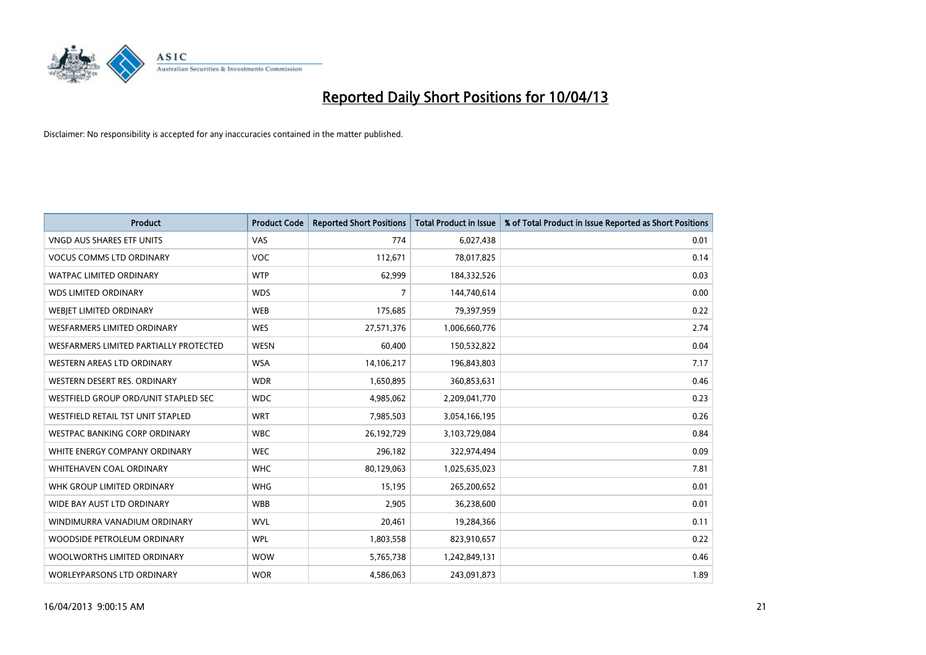

| <b>Product</b>                         | <b>Product Code</b> | <b>Reported Short Positions</b> | <b>Total Product in Issue</b> | % of Total Product in Issue Reported as Short Positions |
|----------------------------------------|---------------------|---------------------------------|-------------------------------|---------------------------------------------------------|
| VNGD AUS SHARES ETF UNITS              | VAS                 | 774                             | 6,027,438                     | 0.01                                                    |
| <b>VOCUS COMMS LTD ORDINARY</b>        | <b>VOC</b>          | 112,671                         | 78,017,825                    | 0.14                                                    |
| WATPAC LIMITED ORDINARY                | <b>WTP</b>          | 62,999                          | 184,332,526                   | 0.03                                                    |
| <b>WDS LIMITED ORDINARY</b>            | <b>WDS</b>          | $\overline{7}$                  | 144,740,614                   | 0.00                                                    |
| WEBJET LIMITED ORDINARY                | <b>WEB</b>          | 175,685                         | 79,397,959                    | 0.22                                                    |
| <b>WESFARMERS LIMITED ORDINARY</b>     | <b>WES</b>          | 27,571,376                      | 1,006,660,776                 | 2.74                                                    |
| WESFARMERS LIMITED PARTIALLY PROTECTED | <b>WESN</b>         | 60,400                          | 150,532,822                   | 0.04                                                    |
| WESTERN AREAS LTD ORDINARY             | <b>WSA</b>          | 14,106,217                      | 196,843,803                   | 7.17                                                    |
| WESTERN DESERT RES. ORDINARY           | <b>WDR</b>          | 1,650,895                       | 360,853,631                   | 0.46                                                    |
| WESTFIELD GROUP ORD/UNIT STAPLED SEC   | <b>WDC</b>          | 4,985,062                       | 2,209,041,770                 | 0.23                                                    |
| WESTFIELD RETAIL TST UNIT STAPLED      | <b>WRT</b>          | 7,985,503                       | 3,054,166,195                 | 0.26                                                    |
| <b>WESTPAC BANKING CORP ORDINARY</b>   | <b>WBC</b>          | 26,192,729                      | 3,103,729,084                 | 0.84                                                    |
| WHITE ENERGY COMPANY ORDINARY          | <b>WEC</b>          | 296,182                         | 322,974,494                   | 0.09                                                    |
| WHITEHAVEN COAL ORDINARY               | <b>WHC</b>          | 80,129,063                      | 1,025,635,023                 | 7.81                                                    |
| WHK GROUP LIMITED ORDINARY             | <b>WHG</b>          | 15,195                          | 265,200,652                   | 0.01                                                    |
| WIDE BAY AUST LTD ORDINARY             | <b>WBB</b>          | 2,905                           | 36,238,600                    | 0.01                                                    |
| WINDIMURRA VANADIUM ORDINARY           | <b>WVL</b>          | 20,461                          | 19,284,366                    | 0.11                                                    |
| WOODSIDE PETROLEUM ORDINARY            | <b>WPL</b>          | 1,803,558                       | 823,910,657                   | 0.22                                                    |
| WOOLWORTHS LIMITED ORDINARY            | <b>WOW</b>          | 5,765,738                       | 1,242,849,131                 | 0.46                                                    |
| <b>WORLEYPARSONS LTD ORDINARY</b>      | <b>WOR</b>          | 4,586,063                       | 243,091,873                   | 1.89                                                    |